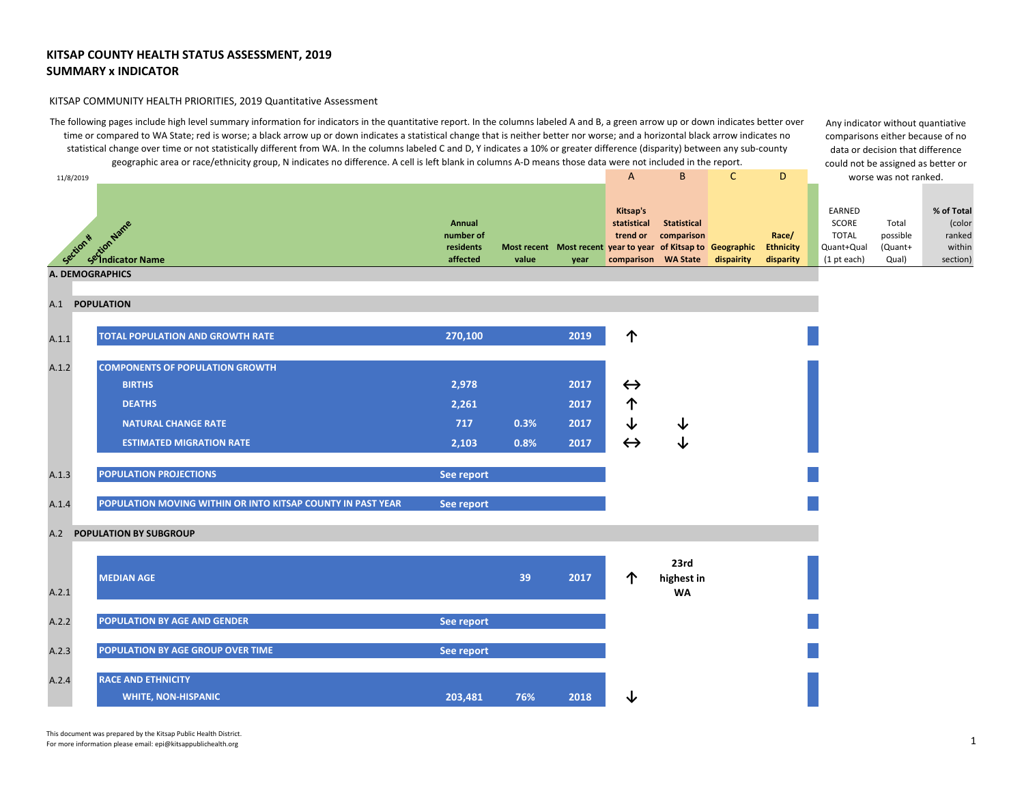#### KITSAP COMMUNITY HEALTH PRIORITIES, 2019 Quantitative Assessment

The following pages include high level summary information for indicators in the quantitative report. In the columns labeled A and B, a green arrow up or down indicates better over time or compared to WA State; red is worse; a black arrow up or down indicates a statistical change that is neither better nor worse; and a horizontal black arrow indicates no statistical change over time or not statistically different from WA. In the columns labeled C and D, Y indicates a 10% or greater difference (disparity) between any sub-county geographic area or race/ethnicity group, N indicates no difference. A cell is left blank in columns A-D means those data were not included in the report.

Any indicator without quantiative comparisons either because of no data or decision that difference could not be assigned as better or

| 11/8/2019 |                                                                   |                                              |       |                                                                      | A                                                          | B                                | $\mathsf{C}$ | D                                      |                                                              | worse was not ranked.                 |                                                      |
|-----------|-------------------------------------------------------------------|----------------------------------------------|-------|----------------------------------------------------------------------|------------------------------------------------------------|----------------------------------|--------------|----------------------------------------|--------------------------------------------------------------|---------------------------------------|------------------------------------------------------|
| Section * | edignwane<br>Section Wame<br>Se Indicator Name<br>A. DEMOGRAPHICS | Annual<br>number of<br>residents<br>affected | value | Most recent Most recent year to year of Kitsap to Geographic<br>year | Kitsap's<br>statistical<br>trend or<br>comparison WA State | <b>Statistical</b><br>comparison | dispairity   | Race/<br><b>Ethnicity</b><br>disparity | EARNED<br>SCORE<br><b>TOTAL</b><br>Quant+Qual<br>(1 pt each) | Total<br>possible<br>(Quant+<br>Qual) | % of Total<br>(color<br>ranked<br>within<br>section) |
|           |                                                                   |                                              |       |                                                                      |                                                            |                                  |              |                                        |                                                              |                                       |                                                      |
|           | A.1 POPULATION                                                    |                                              |       |                                                                      |                                                            |                                  |              |                                        |                                                              |                                       |                                                      |
| A.1.1     | <b>TOTAL POPULATION AND GROWTH RATE</b>                           | 270,100                                      |       | 2019                                                                 | 个                                                          |                                  |              |                                        |                                                              |                                       |                                                      |
| A.1.2     | <b>COMPONENTS OF POPULATION GROWTH</b>                            |                                              |       |                                                                      |                                                            |                                  |              |                                        |                                                              |                                       |                                                      |
|           | <b>BIRTHS</b>                                                     | 2,978                                        |       | 2017                                                                 | $\leftrightarrow$                                          |                                  |              |                                        |                                                              |                                       |                                                      |
|           | <b>DEATHS</b>                                                     | 2,261                                        |       | 2017                                                                 | 个                                                          |                                  |              |                                        |                                                              |                                       |                                                      |
|           | <b>NATURAL CHANGE RATE</b>                                        | 717                                          | 0.3%  | 2017                                                                 | ↓                                                          | ◡                                |              |                                        |                                                              |                                       |                                                      |
|           | <b>ESTIMATED MIGRATION RATE</b>                                   | 2,103                                        | 0.8%  | 2017                                                                 | $\leftrightarrow$                                          | ↓                                |              |                                        |                                                              |                                       |                                                      |
| A.1.3     | <b>POPULATION PROJECTIONS</b>                                     | See report                                   |       |                                                                      |                                                            |                                  |              |                                        |                                                              |                                       |                                                      |
| A.1.4     | POPULATION MOVING WITHIN OR INTO KITSAP COUNTY IN PAST YEAR       | See report                                   |       |                                                                      |                                                            |                                  |              |                                        |                                                              |                                       |                                                      |
| A.2       | POPULATION BY SUBGROUP                                            |                                              |       |                                                                      |                                                            |                                  |              |                                        |                                                              |                                       |                                                      |
|           | <b>MEDIAN AGE</b>                                                 |                                              | 39    | 2017                                                                 | 个                                                          | 23rd<br>highest in               |              |                                        |                                                              |                                       |                                                      |
| A.2.1     |                                                                   |                                              |       |                                                                      |                                                            | <b>WA</b>                        |              |                                        |                                                              |                                       |                                                      |
| A.2.2     | POPULATION BY AGE AND GENDER                                      | See report                                   |       |                                                                      |                                                            |                                  |              |                                        |                                                              |                                       |                                                      |
| A.2.3     | POPULATION BY AGE GROUP OVER TIME                                 | See report                                   |       |                                                                      |                                                            |                                  |              |                                        |                                                              |                                       |                                                      |
| A.2.4     | <b>RACE AND ETHNICITY</b>                                         |                                              |       |                                                                      |                                                            |                                  |              |                                        |                                                              |                                       |                                                      |
|           | <b>WHITE, NON-HISPANIC</b>                                        | 203,481                                      | 76%   | 2018                                                                 | ↓                                                          |                                  |              |                                        |                                                              |                                       |                                                      |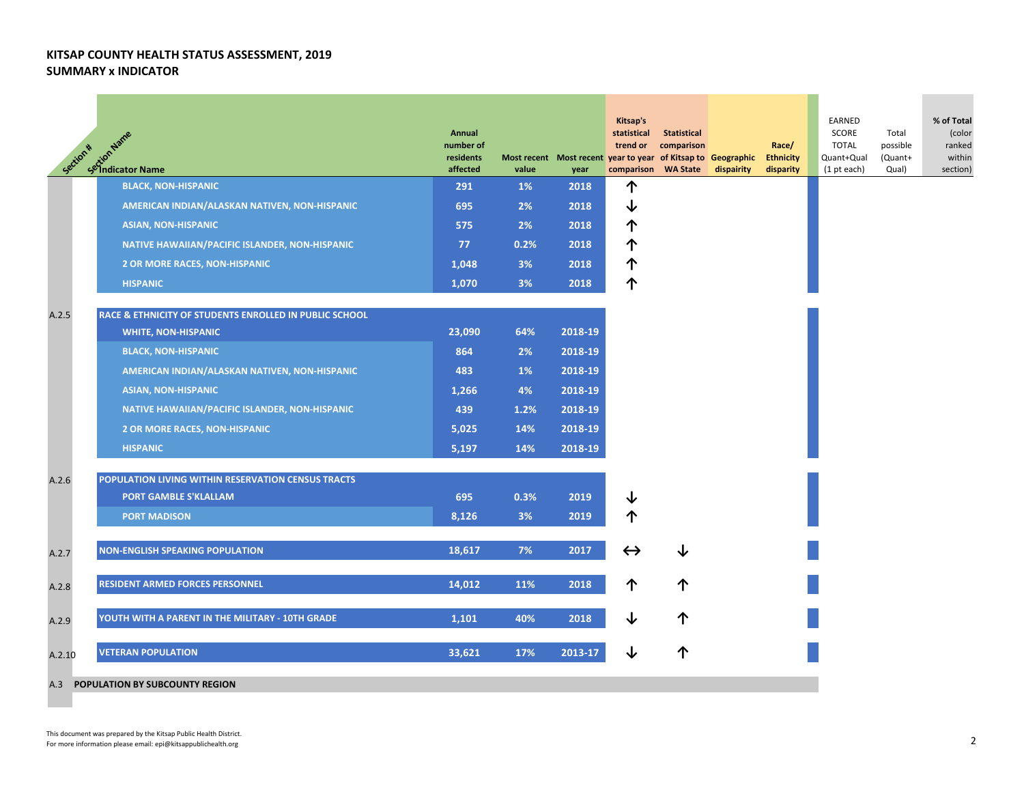| Section * | <b>Anti-</b><br>SetionName<br>SetIndicator Name        | Annual<br>number of<br>residents<br>affected | value | Most recent Most recent year to year of Kitsap to Geographic<br>year | Kitsap's<br>statistical<br>trend or<br>comparison WA State | Statistical<br>comparison | dispairity | Race/<br><b>Ethnicity</b><br>disparity | EARNED<br>SCORE<br><b>TOTAL</b><br>Quant+Qual<br>$(1$ pt each) | Total<br>possible<br>(Quant+<br>Qual) | % of Total<br>(color<br>ranked<br>within<br>section) |
|-----------|--------------------------------------------------------|----------------------------------------------|-------|----------------------------------------------------------------------|------------------------------------------------------------|---------------------------|------------|----------------------------------------|----------------------------------------------------------------|---------------------------------------|------------------------------------------------------|
|           | <b>BLACK, NON-HISPANIC</b>                             | 291                                          | 1%    | 2018                                                                 | 个                                                          |                           |            |                                        |                                                                |                                       |                                                      |
|           | AMERICAN INDIAN/ALASKAN NATIVEN, NON-HISPANIC          | 695                                          | 2%    | 2018                                                                 | ↓                                                          |                           |            |                                        |                                                                |                                       |                                                      |
|           | <b>ASIAN, NON-HISPANIC</b>                             | 575                                          | 2%    | 2018                                                                 | 个                                                          |                           |            |                                        |                                                                |                                       |                                                      |
|           | NATIVE HAWAIIAN/PACIFIC ISLANDER, NON-HISPANIC         | 77                                           | 0.2%  | 2018                                                                 | 个                                                          |                           |            |                                        |                                                                |                                       |                                                      |
|           | <b>2 OR MORE RACES, NON-HISPANIC</b>                   | 1,048                                        | 3%    | 2018                                                                 | 个                                                          |                           |            |                                        |                                                                |                                       |                                                      |
|           | <b>HISPANIC</b>                                        | 1,070                                        | 3%    | 2018                                                                 | 个                                                          |                           |            |                                        |                                                                |                                       |                                                      |
|           |                                                        |                                              |       |                                                                      |                                                            |                           |            |                                        |                                                                |                                       |                                                      |
| A.2.5     | RACE & ETHNICITY OF STUDENTS ENROLLED IN PUBLIC SCHOOL |                                              |       |                                                                      |                                                            |                           |            |                                        |                                                                |                                       |                                                      |
|           | <b>WHITE, NON-HISPANIC</b>                             | 23,090                                       | 64%   | 2018-19                                                              |                                                            |                           |            |                                        |                                                                |                                       |                                                      |
|           | <b>BLACK, NON-HISPANIC</b>                             | 864                                          | 2%    | 2018-19                                                              |                                                            |                           |            |                                        |                                                                |                                       |                                                      |
|           | AMERICAN INDIAN/ALASKAN NATIVEN, NON-HISPANIC          | 483                                          | 1%    | 2018-19                                                              |                                                            |                           |            |                                        |                                                                |                                       |                                                      |
|           | <b>ASIAN, NON-HISPANIC</b>                             | 1,266                                        | 4%    | 2018-19                                                              |                                                            |                           |            |                                        |                                                                |                                       |                                                      |
|           | NATIVE HAWAIIAN/PACIFIC ISLANDER, NON-HISPANIC         | 439                                          | 1.2%  | 2018-19                                                              |                                                            |                           |            |                                        |                                                                |                                       |                                                      |
|           | <b>2 OR MORE RACES, NON-HISPANIC</b>                   | 5,025                                        | 14%   | 2018-19                                                              |                                                            |                           |            |                                        |                                                                |                                       |                                                      |
|           | <b>HISPANIC</b>                                        | 5,197                                        | 14%   | 2018-19                                                              |                                                            |                           |            |                                        |                                                                |                                       |                                                      |
|           |                                                        |                                              |       |                                                                      |                                                            |                           |            |                                        |                                                                |                                       |                                                      |
| A.2.6     | POPULATION LIVING WITHIN RESERVATION CENSUS TRACTS     |                                              |       |                                                                      |                                                            |                           |            |                                        |                                                                |                                       |                                                      |
|           | <b>PORT GAMBLE S'KLALLAM</b>                           | 695                                          | 0.3%  | 2019                                                                 | ↓                                                          |                           |            |                                        |                                                                |                                       |                                                      |
|           | <b>PORT MADISON</b>                                    | 8,126                                        | 3%    | 2019                                                                 | 个                                                          |                           |            |                                        |                                                                |                                       |                                                      |
| A.2.7     | <b>NON-ENGLISH SPEAKING POPULATION</b>                 | 18,617                                       | 7%    | 2017                                                                 | $\leftrightarrow$                                          | ↓                         |            |                                        |                                                                |                                       |                                                      |
| A.2.8     | <b>RESIDENT ARMED FORCES PERSONNEL</b>                 | 14,012                                       | 11%   | 2018                                                                 | 个                                                          | 个                         |            |                                        |                                                                |                                       |                                                      |
| A.2.9     | YOUTH WITH A PARENT IN THE MILITARY - 10TH GRADE       | 1,101                                        | 40%   | 2018                                                                 | ↓                                                          | 个                         |            |                                        |                                                                |                                       |                                                      |
| A.2.10    | <b>VETERAN POPULATION</b>                              | 33,621                                       | 17%   | 2013-17                                                              | ↓                                                          | ↑                         |            |                                        |                                                                |                                       |                                                      |

#### A.3 **POPULATION BY SUBCOUNTY REGION**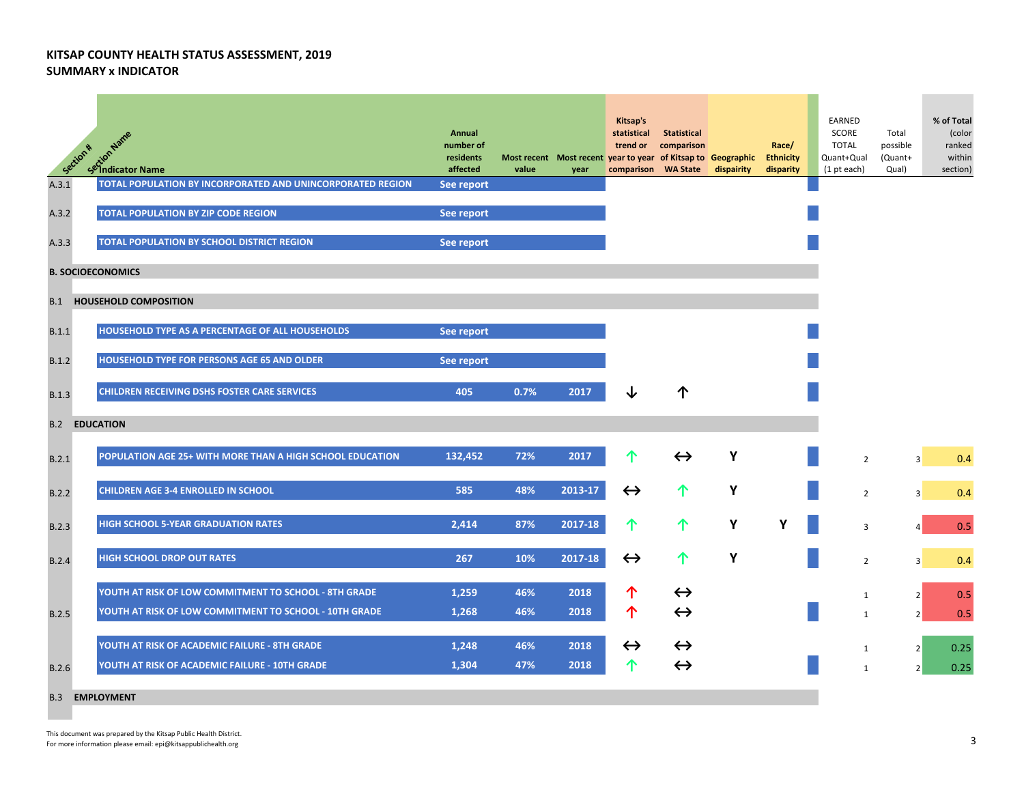|       | setion Name<br>Setion Name<br>Section *                    | Annual<br>number of<br>residents<br>affected | value | Most recent Most recent year to year of Kitsap to Geographic Ethnicity<br>year | Kitsap's<br>statistical<br>trend or<br>comparison WA State | Statistical<br>comparison | dispairity | Race/<br>disparity | EARNED<br>SCORE<br><b>TOTAL</b><br>Quant+Qual<br>(1 pt each) | Total<br>possible<br>(Quant+<br>Qual) | % of Total<br>(color<br>ranked<br>within<br>section) |
|-------|------------------------------------------------------------|----------------------------------------------|-------|--------------------------------------------------------------------------------|------------------------------------------------------------|---------------------------|------------|--------------------|--------------------------------------------------------------|---------------------------------------|------------------------------------------------------|
| A.3.1 | TOTAL POPULATION BY INCORPORATED AND UNINCORPORATED REGION | See report                                   |       |                                                                                |                                                            |                           |            |                    |                                                              |                                       |                                                      |
| A.3.2 | TOTAL POPULATION BY ZIP CODE REGION                        | See report                                   |       |                                                                                |                                                            |                           |            |                    |                                                              |                                       |                                                      |
| A.3.3 | TOTAL POPULATION BY SCHOOL DISTRICT REGION                 | See report                                   |       |                                                                                |                                                            |                           |            |                    |                                                              |                                       |                                                      |
|       | <b>B. SOCIOECONOMICS</b>                                   |                                              |       |                                                                                |                                                            |                           |            |                    |                                                              |                                       |                                                      |
| B.1   | <b>HOUSEHOLD COMPOSITION</b>                               |                                              |       |                                                                                |                                                            |                           |            |                    |                                                              |                                       |                                                      |
| B.1.1 | HOUSEHOLD TYPE AS A PERCENTAGE OF ALL HOUSEHOLDS           | See report                                   |       |                                                                                |                                                            |                           |            |                    |                                                              |                                       |                                                      |
| B.1.2 | <b>HOUSEHOLD TYPE FOR PERSONS AGE 65 AND OLDER</b>         | See report                                   |       |                                                                                |                                                            |                           |            |                    |                                                              |                                       |                                                      |
| B.1.3 | <b>CHILDREN RECEIVING DSHS FOSTER CARE SERVICES</b>        | 405                                          | 0.7%  | 2017                                                                           |                                                            | ↑                         |            |                    |                                                              |                                       |                                                      |
|       | <b>B.2 EDUCATION</b>                                       |                                              |       |                                                                                |                                                            |                           |            |                    |                                                              |                                       |                                                      |
| B.2.1 | POPULATION AGE 25+ WITH MORE THAN A HIGH SCHOOL EDUCATION  | 132,452                                      | 72%   | 2017                                                                           | 个                                                          | $\leftrightarrow$         | Υ          |                    | $\overline{2}$                                               | $\overline{3}$                        | 0.4                                                  |
| B.2.2 | <b>CHILDREN AGE 3-4 ENROLLED IN SCHOOL</b>                 | 585                                          | 48%   | 2013-17                                                                        | $\leftrightarrow$                                          | 个                         | Υ          |                    | $\overline{2}$                                               | 3                                     | 0.4                                                  |
| B.2.3 | <b>HIGH SCHOOL 5-YEAR GRADUATION RATES</b>                 | 2,414                                        | 87%   | 2017-18                                                                        | 个                                                          | 个                         | Υ          | Υ                  | $\overline{3}$                                               |                                       | 0.5                                                  |
| B.2.4 | <b>HIGH SCHOOL DROP OUT RATES</b>                          | 267                                          | 10%   | 2017-18                                                                        | $\leftrightarrow$                                          | 个                         | Y          |                    | $\overline{2}$                                               | 3                                     | 0.4                                                  |
|       | YOUTH AT RISK OF LOW COMMITMENT TO SCHOOL - 8TH GRADE      | 1,259                                        | 46%   | 2018                                                                           | 个                                                          | $\leftrightarrow$         |            |                    |                                                              |                                       |                                                      |
| B.2.5 | YOUTH AT RISK OF LOW COMMITMENT TO SCHOOL - 10TH GRADE     | 1,268                                        | 46%   | 2018                                                                           | 个                                                          | $\leftrightarrow$         |            |                    | 1<br>1                                                       | 2<br>2 <sup>1</sup>                   | 0.5<br>0.5                                           |
|       | YOUTH AT RISK OF ACADEMIC FAILURE - 8TH GRADE              | 1,248                                        | 46%   | 2018                                                                           | $\leftrightarrow$                                          | $\leftrightarrow$         |            |                    | 1                                                            | 2                                     | 0.25                                                 |
| B.2.6 | YOUTH AT RISK OF ACADEMIC FAILURE - 10TH GRADE             | 1,304                                        | 47%   | 2018                                                                           | ↑                                                          | $\leftrightarrow$         |            |                    | $\mathbf{1}$                                                 | $\overline{2}$                        | 0.25                                                 |
|       | <b>B.3 EMPLOYMENT</b>                                      |                                              |       |                                                                                |                                                            |                           |            |                    |                                                              |                                       |                                                      |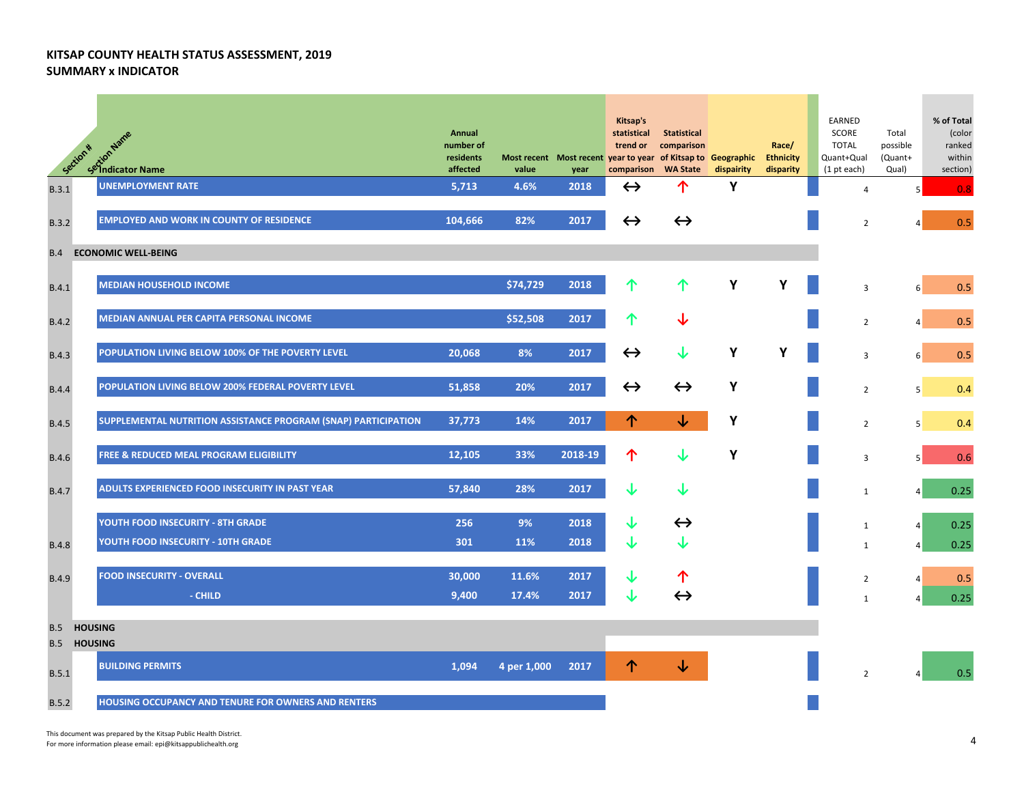| Section *         | setion Name<br>Setion Name                                     | Annual<br>number of<br>residents<br>affected | value       | year    | Kitsap's<br>statistical<br>trend or<br>Most recent Most recent year to year of Kitsap to Geographic<br>comparison WA State | <b>Statistical</b><br>comparison | dispairity | Race/<br><b>Ethnicity</b><br>disparity | EARNED<br>SCORE<br><b>TOTAL</b><br>Quant+Qual<br>$(1$ pt each) | Total<br>possible<br>(Quant+<br>Qual) | % of Total<br>(color<br>ranked<br>within<br>section) |
|-------------------|----------------------------------------------------------------|----------------------------------------------|-------------|---------|----------------------------------------------------------------------------------------------------------------------------|----------------------------------|------------|----------------------------------------|----------------------------------------------------------------|---------------------------------------|------------------------------------------------------|
| B.3.1             | <b>UNEMPLOYMENT RATE</b>                                       | 5,713                                        | 4.6%        | 2018    | $\leftrightarrow$                                                                                                          | 个                                | Υ          |                                        | $\overline{4}$                                                 | 5                                     | 0.8                                                  |
| B.3.2             | <b>EMPLOYED AND WORK IN COUNTY OF RESIDENCE</b>                | 104,666                                      | 82%         | 2017    | $\leftrightarrow$                                                                                                          | $\leftrightarrow$                |            |                                        | $\overline{2}$                                                 |                                       | 0.5                                                  |
| B.4               | <b>ECONOMIC WELL-BEING</b>                                     |                                              |             |         |                                                                                                                            |                                  |            |                                        |                                                                |                                       |                                                      |
| B.4.1             | <b>MEDIAN HOUSEHOLD INCOME</b>                                 |                                              | \$74,729    | 2018    | 个                                                                                                                          | 个                                | Υ          | Υ                                      | 3                                                              | 6 <sup>1</sup>                        | 0.5                                                  |
| B.4.2             | MEDIAN ANNUAL PER CAPITA PERSONAL INCOME                       |                                              | \$52,508    | 2017    | 个                                                                                                                          | ↓                                |            |                                        | $\overline{2}$                                                 | $\vert$                               | 0.5                                                  |
| <b>B.4.3</b>      | POPULATION LIVING BELOW 100% OF THE POVERTY LEVEL              | 20,068                                       | 8%          | 2017    | $\leftrightarrow$                                                                                                          | ↓                                | Υ          | Y                                      | 3                                                              | 6 <sup>1</sup>                        | 0.5                                                  |
| <b>B.4.4</b>      | POPULATION LIVING BELOW 200% FEDERAL POVERTY LEVEL             | 51,858                                       | 20%         | 2017    | $\leftrightarrow$                                                                                                          | $\leftrightarrow$                | Υ          |                                        | $\overline{2}$                                                 | 5 <sup>1</sup>                        | 0.4                                                  |
| <b>B.4.5</b>      | SUPPLEMENTAL NUTRITION ASSISTANCE PROGRAM (SNAP) PARTICIPATION | 37,773                                       | 14%         | 2017    | ↑                                                                                                                          | ↓                                | Υ          |                                        | $\overline{2}$                                                 | 5 <sup>1</sup>                        | 0.4                                                  |
| <b>B.4.6</b>      | <b>FREE &amp; REDUCED MEAL PROGRAM ELIGIBILITY</b>             | 12,105                                       | 33%         | 2018-19 | 个                                                                                                                          | ↓                                | Υ          |                                        | 3                                                              | 5                                     | 0.6                                                  |
| <b>B.4.7</b>      | ADULTS EXPERIENCED FOOD INSECURITY IN PAST YEAR                | 57,840                                       | 28%         | 2017    | ↓                                                                                                                          | $\downarrow$                     |            |                                        | $\mathbf{1}$                                                   | 4 <sup>1</sup>                        | 0.25                                                 |
|                   | YOUTH FOOD INSECURITY - 8TH GRADE                              | 256                                          | 9%          | 2018    | ↓                                                                                                                          | $\leftrightarrow$                |            |                                        | $\mathbf{1}$                                                   | $\vert$                               | 0.25                                                 |
| <b>B.4.8</b>      | YOUTH FOOD INSECURITY - 10TH GRADE                             | 301                                          | 11%         | 2018    | ↓                                                                                                                          | ↓                                |            |                                        | $\mathbf{1}$                                                   | $\vert$                               | 0.25                                                 |
| <b>B.4.9</b>      | <b>FOOD INSECURITY - OVERALL</b>                               | 30,000                                       | 11.6%       | 2017    | ↓                                                                                                                          | ↑                                |            |                                        | $\overline{2}$                                                 | $\overline{4}$                        | 0.5                                                  |
|                   | - CHILD                                                        | 9,400                                        | 17.4%       | 2017    | J                                                                                                                          | $\leftrightarrow$                |            |                                        | $\mathbf{1}$                                                   | $\Delta$                              | 0.25                                                 |
| <b>B.5</b><br>B.5 | <b>HOUSING</b><br><b>HOUSING</b>                               |                                              |             |         |                                                                                                                            |                                  |            |                                        |                                                                |                                       |                                                      |
| <b>B.5.1</b>      | <b>BUILDING PERMITS</b>                                        | 1,094                                        | 4 per 1,000 | 2017    | ↑                                                                                                                          | ↓                                |            |                                        | $\overline{2}$                                                 |                                       | 0.5                                                  |
| B.5.2             | HOUSING OCCUPANCY AND TENURE FOR OWNERS AND RENTERS            |                                              |             |         |                                                                                                                            |                                  |            |                                        |                                                                |                                       |                                                      |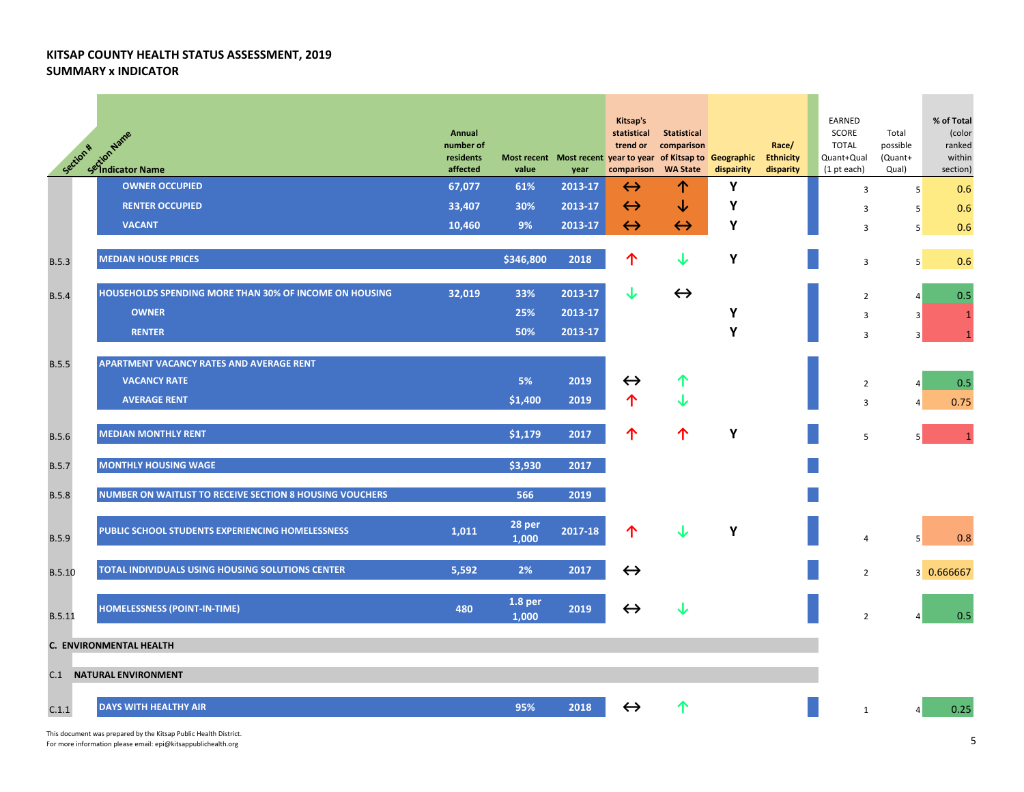| Section *     | <b>And Section Name</b><br>Section Name                  | Annual<br>number of<br>residents<br>affected | value            | Most recent Most recent year to year of Kitsap to Geographic<br>year | Kitsap's<br>statistical<br>trend or<br>comparison | Statistical<br>comparison<br><b>WA State</b> | dispairity | Race/<br><b>Ethnicity</b><br>disparity | EARNED<br>SCORE<br><b>TOTAL</b><br>Quant+Qual<br>(1 pt each) | Total<br>possible<br>(Quant+<br>Qual) | % of Total<br>(color<br>ranked<br>within<br>section) |
|---------------|----------------------------------------------------------|----------------------------------------------|------------------|----------------------------------------------------------------------|---------------------------------------------------|----------------------------------------------|------------|----------------------------------------|--------------------------------------------------------------|---------------------------------------|------------------------------------------------------|
|               | <b>OWNER OCCUPIED</b>                                    | 67,077                                       | 61%              | 2013-17                                                              | $\leftrightarrow$                                 | 个                                            | Y          |                                        | 3                                                            | 5                                     | 0.6                                                  |
|               | <b>RENTER OCCUPIED</b>                                   | 33,407                                       | 30%              | 2013-17                                                              | $\leftrightarrow$                                 | ↓                                            | Υ          |                                        | 3                                                            | 5                                     | 0.6                                                  |
|               | <b>VACANT</b>                                            | 10,460                                       | 9%               | 2013-17                                                              | $\leftrightarrow$                                 | $\leftrightarrow$                            | Y          |                                        | 3                                                            | 5                                     | 0.6                                                  |
| <b>B.5.3</b>  | <b>MEDIAN HOUSE PRICES</b>                               |                                              | \$346,800        | 2018                                                                 | 个                                                 | ↓                                            | Y          |                                        | 3                                                            | 5 <sup>1</sup>                        | 0.6                                                  |
| <b>B.5.4</b>  | HOUSEHOLDS SPENDING MORE THAN 30% OF INCOME ON HOUSING   | 32,019                                       | 33%              | 2013-17                                                              | ↓                                                 | $\leftrightarrow$                            |            |                                        | $\overline{2}$                                               | 4                                     | 0.5                                                  |
|               | <b>OWNER</b>                                             |                                              | 25%              | 2013-17                                                              |                                                   |                                              | Υ          |                                        | 3                                                            | 3                                     | -1                                                   |
|               | <b>RENTER</b>                                            |                                              | 50%              | 2013-17                                                              |                                                   |                                              | Υ          |                                        | 3                                                            | 3                                     |                                                      |
|               |                                                          |                                              |                  |                                                                      |                                                   |                                              |            |                                        |                                                              |                                       |                                                      |
| <b>B.5.5</b>  | <b>APARTMENT VACANCY RATES AND AVERAGE RENT</b>          |                                              |                  |                                                                      |                                                   |                                              |            |                                        |                                                              |                                       |                                                      |
|               | <b>VACANCY RATE</b>                                      |                                              | 5%               | 2019                                                                 | $\leftrightarrow$                                 | ↑                                            |            |                                        | $\overline{2}$                                               | $\overline{4}$                        | 0.5                                                  |
|               | <b>AVERAGE RENT</b>                                      |                                              | \$1,400          | 2019                                                                 | ↑                                                 |                                              |            |                                        | 3                                                            | $\overline{4}$                        | 0.75                                                 |
| <b>B.5.6</b>  | <b>MEDIAN MONTHLY RENT</b>                               |                                              | \$1,179          | 2017                                                                 | ↑                                                 | 个                                            | Y          |                                        | 5                                                            | 5                                     | $\overline{1}$                                       |
| <b>B.5.7</b>  | <b>MONTHLY HOUSING WAGE</b>                              |                                              | \$3,930          | 2017                                                                 |                                                   |                                              |            |                                        |                                                              |                                       |                                                      |
| <b>B.5.8</b>  | NUMBER ON WAITLIST TO RECEIVE SECTION 8 HOUSING VOUCHERS |                                              | 566              | 2019                                                                 |                                                   |                                              |            |                                        |                                                              |                                       |                                                      |
| <b>B.5.9</b>  | PUBLIC SCHOOL STUDENTS EXPERIENCING HOMELESSNESS         | 1,011                                        | 28 per<br>1,000  | 2017-18                                                              | ↑                                                 |                                              | Y          |                                        | 4                                                            | 5                                     | 0.8                                                  |
| <b>B.5.10</b> | TOTAL INDIVIDUALS USING HOUSING SOLUTIONS CENTER         | 5,592                                        | 2%               | 2017                                                                 | $\leftrightarrow$                                 |                                              |            |                                        | $\overline{2}$                                               |                                       | 3 0.666667                                           |
| <b>B.5.11</b> | <b>HOMELESSNESS (POINT-IN-TIME)</b>                      | 480                                          | 1.8 per<br>1,000 | 2019                                                                 | $\leftrightarrow$                                 |                                              |            |                                        | $\overline{2}$                                               |                                       | 0.5                                                  |
|               | C. ENVIRONMENTAL HEALTH                                  |                                              |                  |                                                                      |                                                   |                                              |            |                                        |                                                              |                                       |                                                      |
|               |                                                          |                                              |                  |                                                                      |                                                   |                                              |            |                                        |                                                              |                                       |                                                      |
|               | <b>C.1 NATURAL ENVIRONMENT</b>                           |                                              |                  |                                                                      |                                                   |                                              |            |                                        |                                                              |                                       |                                                      |
| C.1.1         | <b>DAYS WITH HEALTHY AIR</b>                             |                                              | 95%              | 2018                                                                 | $\leftrightarrow$                                 |                                              |            |                                        | $\mathbf{1}$                                                 |                                       | 0.25                                                 |

This document was prepared by the Kitsap Public Health District. For more information please email: epi@kitsappublichealth.org 5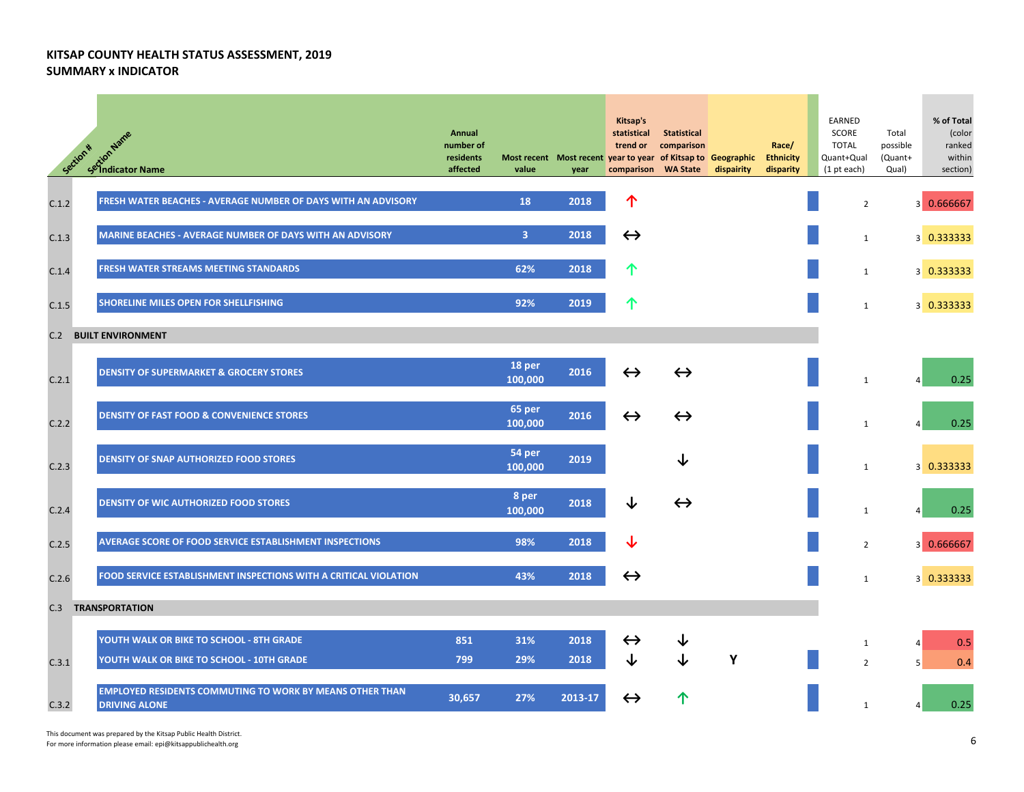| Section * | setion Name<br>Setion Name                                                              | Annual<br>number of<br>residents<br>affected | value             | Most recent Most recent year to year of Kitsap to Geographic<br>year | Kitsap's<br>statistical<br>trend or<br>comparison | <b>Statistical</b><br>comparison<br><b>WA State</b> | dispairity | Race/<br><b>Ethnicity</b><br>disparity | EARNED<br>SCORE<br><b>TOTAL</b><br>Quant+Qual<br>$(1$ pt each) | Total<br>possible<br>(Quant+<br>Qual) | % of Total<br>(color<br>ranked<br>within<br>section) |
|-----------|-----------------------------------------------------------------------------------------|----------------------------------------------|-------------------|----------------------------------------------------------------------|---------------------------------------------------|-----------------------------------------------------|------------|----------------------------------------|----------------------------------------------------------------|---------------------------------------|------------------------------------------------------|
| C.1.2     | FRESH WATER BEACHES - AVERAGE NUMBER OF DAYS WITH AN ADVISORY                           |                                              | 18                | 2018                                                                 | 个                                                 |                                                     |            |                                        | $\overline{2}$                                                 |                                       | 3 0.666667                                           |
| C.1.3     | <b>MARINE BEACHES - AVERAGE NUMBER OF DAYS WITH AN ADVISORY</b>                         |                                              | 3                 | 2018                                                                 | $\leftrightarrow$                                 |                                                     |            |                                        | $\mathbf{1}$                                                   |                                       | 3 0.333333                                           |
| C.1.4     | FRESH WATER STREAMS MEETING STANDARDS                                                   |                                              | 62%               | 2018                                                                 | ↑                                                 |                                                     |            |                                        | $\mathbf{1}$                                                   |                                       | 3 0.333333                                           |
| C.1.5     | SHORELINE MILES OPEN FOR SHELLFISHING                                                   |                                              | 92%               | 2019                                                                 |                                                   |                                                     |            |                                        | $\mathbf{1}$                                                   |                                       | 3 0.333333                                           |
| C.2       | <b>BUILT ENVIRONMENT</b>                                                                |                                              |                   |                                                                      |                                                   |                                                     |            |                                        |                                                                |                                       |                                                      |
| C.2.1     | <b>DENSITY OF SUPERMARKET &amp; GROCERY STORES</b>                                      |                                              | 18 per<br>100,000 | 2016                                                                 | $\leftrightarrow$                                 | $\leftrightarrow$                                   |            |                                        | $\mathbf{1}$                                                   |                                       | 0.25                                                 |
| C.2.2     | <b>DENSITY OF FAST FOOD &amp; CONVENIENCE STORES</b>                                    |                                              | 65 per<br>100,000 | 2016                                                                 | $\leftrightarrow$                                 | $\leftrightarrow$                                   |            |                                        | $\mathbf{1}$                                                   |                                       | 0.25                                                 |
| C.2.3     | <b>DENSITY OF SNAP AUTHORIZED FOOD STORES</b>                                           |                                              | 54 per<br>100,000 | 2019                                                                 |                                                   |                                                     |            |                                        | $\mathbf{1}$                                                   |                                       | 3 0.333333                                           |
| C.2.4     | <b>DENSITY OF WIC AUTHORIZED FOOD STORES</b>                                            |                                              | 8 per<br>100,000  | 2018                                                                 | ↓                                                 | $\leftrightarrow$                                   |            |                                        | $\mathbf{1}$                                                   |                                       | 0.25                                                 |
| C.2.5     | AVERAGE SCORE OF FOOD SERVICE ESTABLISHMENT INSPECTIONS                                 |                                              | 98%               | 2018                                                                 |                                                   |                                                     |            |                                        | $\overline{2}$                                                 |                                       | 3 0.666667                                           |
| C.2.6     | FOOD SERVICE ESTABLISHMENT INSPECTIONS WITH A CRITICAL VIOLATION                        |                                              | 43%               | 2018                                                                 | $\leftrightarrow$                                 |                                                     |            |                                        | $\mathbf{1}$                                                   |                                       | 3 0.333333                                           |
|           | <b>C.3 TRANSPORTATION</b>                                                               |                                              |                   |                                                                      |                                                   |                                                     |            |                                        |                                                                |                                       |                                                      |
| C.3.1     | YOUTH WALK OR BIKE TO SCHOOL - 8TH GRADE<br>YOUTH WALK OR BIKE TO SCHOOL - 10TH GRADE   | 851<br>799                                   | 31%<br>29%        | 2018<br>2018                                                         | $\leftrightarrow$<br>↓                            |                                                     | Y          |                                        | 1<br>$\overline{2}$                                            | 4<br>5                                | 0.5<br>0.4                                           |
| C.3.2     | <b>EMPLOYED RESIDENTS COMMUTING TO WORK BY MEANS OTHER THAN</b><br><b>DRIVING ALONE</b> | 30,657                                       | 27%               | 2013-17                                                              | $\leftrightarrow$                                 |                                                     |            |                                        | $\mathbf{1}$                                                   |                                       | 0.25                                                 |

This document was prepared by the Kitsap Public Health District. For more information please email: epi@kitsappublichealth.org 6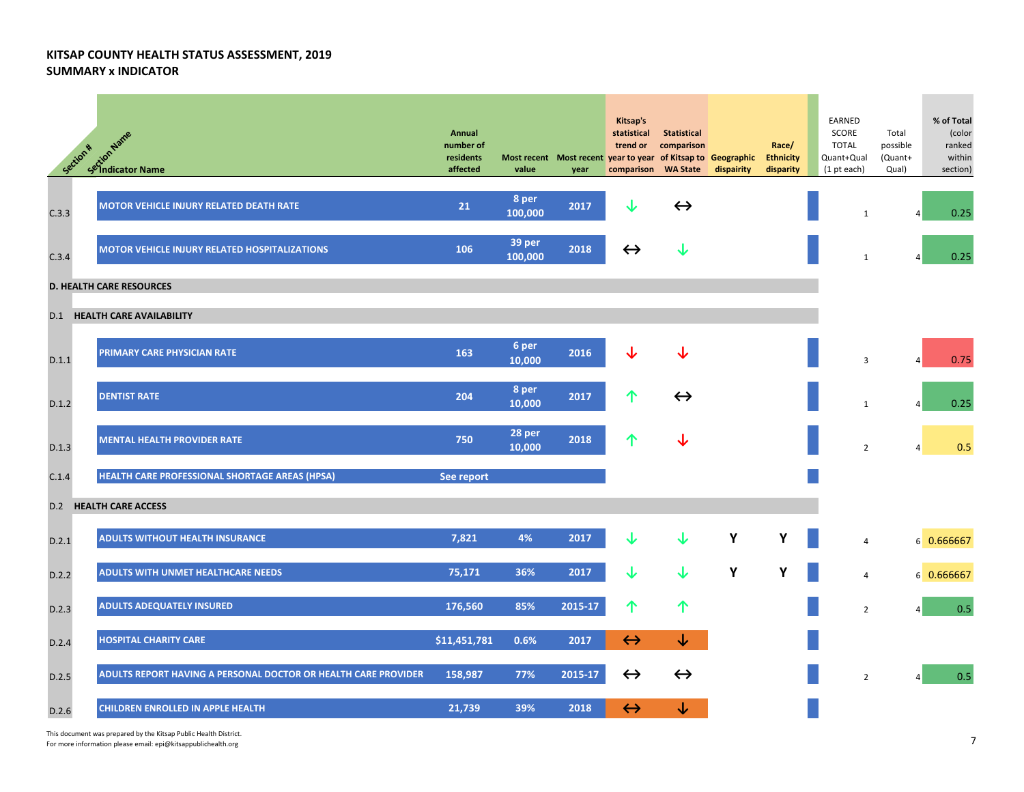| Section * | <b>CALCAM ASTAC</b><br>Sextion Name                            | Annual<br>number of<br>residents<br>affected | value             | Most recent Most recent year to year of Kitsap to Geographic<br>year | Kitsap's<br>statistical<br>trend or<br>comparison | <b>Statistical</b><br>comparison<br><b>WA State</b> | dispairity | Race/<br><b>Ethnicity</b><br>disparity | EARNED<br>SCORE<br><b>TOTAL</b><br>Quant+Qual<br>$(1$ pt each) | Total<br>possible<br>(Quant+<br>Qual) | % of Total<br>(color<br>ranked<br>within<br>section) |
|-----------|----------------------------------------------------------------|----------------------------------------------|-------------------|----------------------------------------------------------------------|---------------------------------------------------|-----------------------------------------------------|------------|----------------------------------------|----------------------------------------------------------------|---------------------------------------|------------------------------------------------------|
| C.3.3     | MOTOR VEHICLE INJURY RELATED DEATH RATE                        | 21                                           | 8 per<br>100,000  | 2017                                                                 | ↓                                                 | $\leftrightarrow$                                   |            |                                        | 1                                                              | 4                                     | 0.25                                                 |
| C.3.4     | <b>MOTOR VEHICLE INJURY RELATED HOSPITALIZATIONS</b>           | 106                                          | 39 per<br>100,000 | 2018                                                                 | $\leftrightarrow$                                 | ↓                                                   |            |                                        | $\mathbf{1}$                                                   | Δ                                     | 0.25                                                 |
|           | <b>D. HEALTH CARE RESOURCES</b>                                |                                              |                   |                                                                      |                                                   |                                                     |            |                                        |                                                                |                                       |                                                      |
|           | <b>D.1 HEALTH CARE AVAILABILITY</b>                            |                                              |                   |                                                                      |                                                   |                                                     |            |                                        |                                                                |                                       |                                                      |
| D.1.1     | PRIMARY CARE PHYSICIAN RATE                                    | 163                                          | 6 per<br>10,000   | 2016                                                                 |                                                   |                                                     |            |                                        | 3                                                              |                                       | 0.75                                                 |
| D.1.2     | <b>DENTIST RATE</b>                                            | 204                                          | 8 per<br>10,000   | 2017                                                                 | ↑                                                 | $\leftrightarrow$                                   |            |                                        | $\mathbf{1}$                                                   |                                       | 0.25                                                 |
| D.1.3     | <b>MENTAL HEALTH PROVIDER RATE</b>                             | 750                                          | 28 per<br>10,000  | 2018                                                                 |                                                   |                                                     |            |                                        | $\overline{2}$                                                 | 4                                     | 0.5                                                  |
| C.1.4     | HEALTH CARE PROFESSIONAL SHORTAGE AREAS (HPSA)                 | See report                                   |                   |                                                                      |                                                   |                                                     |            |                                        |                                                                |                                       |                                                      |
|           | <b>D.2 HEALTH CARE ACCESS</b>                                  |                                              |                   |                                                                      |                                                   |                                                     |            |                                        |                                                                |                                       |                                                      |
| D.2.1     | <b>ADULTS WITHOUT HEALTH INSURANCE</b>                         | 7,821                                        | 4%                | 2017                                                                 | J                                                 | ↓                                                   | Υ          | Y                                      | 4                                                              |                                       | 6 0.666667                                           |
| D.2.2     | ADULTS WITH UNMET HEALTHCARE NEEDS                             | 75,171                                       | 36%               | 2017                                                                 | J                                                 | ↓                                                   | Y          | Y                                      | 4                                                              |                                       | 6 0.666667                                           |
| D.2.3     | <b>ADULTS ADEQUATELY INSURED</b>                               | 176,560                                      | 85%               | 2015-17                                                              | ↑                                                 | 个                                                   |            |                                        | $\overline{2}$                                                 |                                       | 0.5                                                  |
| D.2.4     | <b>HOSPITAL CHARITY CARE</b>                                   | \$11,451,781                                 | 0.6%              | 2017                                                                 | $\leftrightarrow$                                 | ↓                                                   |            |                                        |                                                                |                                       |                                                      |
| D.2.5     | ADULTS REPORT HAVING A PERSONAL DOCTOR OR HEALTH CARE PROVIDER | 158,987                                      | 77%               | 2015-17                                                              | $\leftrightarrow$                                 | $\leftrightarrow$                                   |            |                                        | $\overline{2}$                                                 | $\Delta$                              | 0.5                                                  |
| D.2.6     | <b>CHILDREN ENROLLED IN APPLE HEALTH</b>                       | 21,739                                       | 39%               | 2018                                                                 | $\leftrightarrow$                                 |                                                     |            |                                        |                                                                |                                       |                                                      |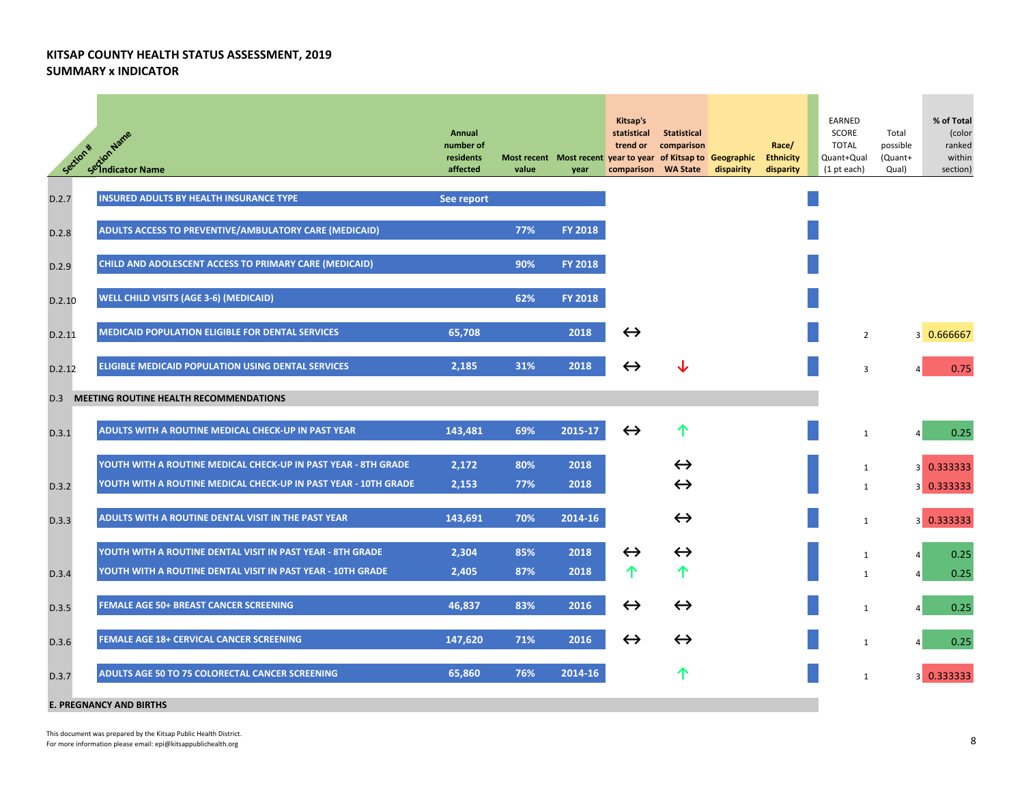| Section * | setion Name<br>Setion Name                                      | Annual<br>number of<br>residents<br>affected | value | year           | Kitsap's<br>statistical<br>trend or<br>Most recent Most recent year to year of Kitsap to Geographic<br>comparison | <b>Statistical</b><br>comparison<br><b>WA State</b> | dispairity | Race/<br><b>Ethnicity</b><br>disparity | EARNED<br>SCORE<br><b>TOTAL</b><br>Quant+Qual<br>$(1$ pt each) | Total<br>possible<br>(Quant+<br>Qual) | % of Total<br>(color<br>ranked<br>within<br>section) |
|-----------|-----------------------------------------------------------------|----------------------------------------------|-------|----------------|-------------------------------------------------------------------------------------------------------------------|-----------------------------------------------------|------------|----------------------------------------|----------------------------------------------------------------|---------------------------------------|------------------------------------------------------|
| D.2.7     | <b>INSURED ADULTS BY HEALTH INSURANCE TYPE</b>                  | See report                                   |       |                |                                                                                                                   |                                                     |            |                                        |                                                                |                                       |                                                      |
| D.2.8     | ADULTS ACCESS TO PREVENTIVE/AMBULATORY CARE (MEDICAID)          |                                              | 77%   | <b>FY 2018</b> |                                                                                                                   |                                                     |            |                                        |                                                                |                                       |                                                      |
| D.2.9     | CHILD AND ADOLESCENT ACCESS TO PRIMARY CARE (MEDICAID)          |                                              | 90%   | <b>FY 2018</b> |                                                                                                                   |                                                     |            |                                        |                                                                |                                       |                                                      |
| D.2.10    | <b>WELL CHILD VISITS (AGE 3-6) (MEDICAID)</b>                   |                                              | 62%   | <b>FY 2018</b> |                                                                                                                   |                                                     |            |                                        |                                                                |                                       |                                                      |
| D.2.11    | <b>MEDICAID POPULATION ELIGIBLE FOR DENTAL SERVICES</b>         | 65,708                                       |       | 2018           | $\leftrightarrow$                                                                                                 |                                                     |            |                                        | $\overline{2}$                                                 |                                       | 3 0.666667                                           |
| D.2.12    | <b>ELIGIBLE MEDICAID POPULATION USING DENTAL SERVICES</b>       | 2,185                                        | 31%   | 2018           | $\leftrightarrow$                                                                                                 |                                                     |            |                                        | 3                                                              |                                       | 0.75                                                 |
| D.3       | MEETING ROUTINE HEALTH RECOMMENDATIONS                          |                                              |       |                |                                                                                                                   |                                                     |            |                                        |                                                                |                                       |                                                      |
| D.3.1     | ADULTS WITH A ROUTINE MEDICAL CHECK-UP IN PAST YEAR             | 143,481                                      | 69%   | 2015-17        | $\leftrightarrow$                                                                                                 | ↑                                                   |            |                                        | $\mathbf{1}$                                                   |                                       | 0.25                                                 |
|           | YOUTH WITH A ROUTINE MEDICAL CHECK-UP IN PAST YEAR - 8TH GRADE  | 2,172                                        | 80%   | 2018           |                                                                                                                   | $\leftrightarrow$                                   |            |                                        | $\mathbf{1}$                                                   |                                       | 3 0.333333                                           |
| D.3.2     | YOUTH WITH A ROUTINE MEDICAL CHECK-UP IN PAST YEAR - 10TH GRADE | 2,153                                        | 77%   | 2018           |                                                                                                                   | $\leftrightarrow$                                   |            |                                        | 1                                                              |                                       | 3 0.333333                                           |
| D.3.3     | ADULTS WITH A ROUTINE DENTAL VISIT IN THE PAST YEAR             | 143,691                                      | 70%   | 2014-16        |                                                                                                                   | $\leftrightarrow$                                   |            |                                        | $\mathbf{1}$                                                   |                                       | 3 0.333333                                           |
|           | YOUTH WITH A ROUTINE DENTAL VISIT IN PAST YEAR - 8TH GRADE      | 2,304                                        | 85%   | 2018           | $\leftrightarrow$                                                                                                 | $\leftrightarrow$                                   |            |                                        | 1                                                              | $\vert$                               | 0.25                                                 |
| D.3.4     | YOUTH WITH A ROUTINE DENTAL VISIT IN PAST YEAR - 10TH GRADE     | 2,405                                        | 87%   | 2018           | ↑                                                                                                                 | ↑                                                   |            |                                        | 1                                                              | $\vert$                               | 0.25                                                 |
| D.3.5     | <b>FEMALE AGE 50+ BREAST CANCER SCREENING</b>                   | 46,837                                       | 83%   | 2016           | $\leftrightarrow$                                                                                                 | $\leftrightarrow$                                   |            |                                        | 1                                                              | $\vert$                               | 0.25                                                 |
| D.3.6     | <b>FEMALE AGE 18+ CERVICAL CANCER SCREENING</b>                 | 147,620                                      | 71%   | 2016           | $\leftrightarrow$                                                                                                 | $\leftrightarrow$                                   |            |                                        | 1                                                              | $\vert$                               | 0.25                                                 |
| D.3.7     | ADULTS AGE 50 TO 75 COLORECTAL CANCER SCREENING                 | 65,860                                       | 76%   | 2014-16        |                                                                                                                   |                                                     |            |                                        | $\mathbf{1}$                                                   |                                       | 3 0.333333                                           |
|           | <b>E. PREGNANCY AND BIRTHS</b>                                  |                                              |       |                |                                                                                                                   |                                                     |            |                                        |                                                                |                                       |                                                      |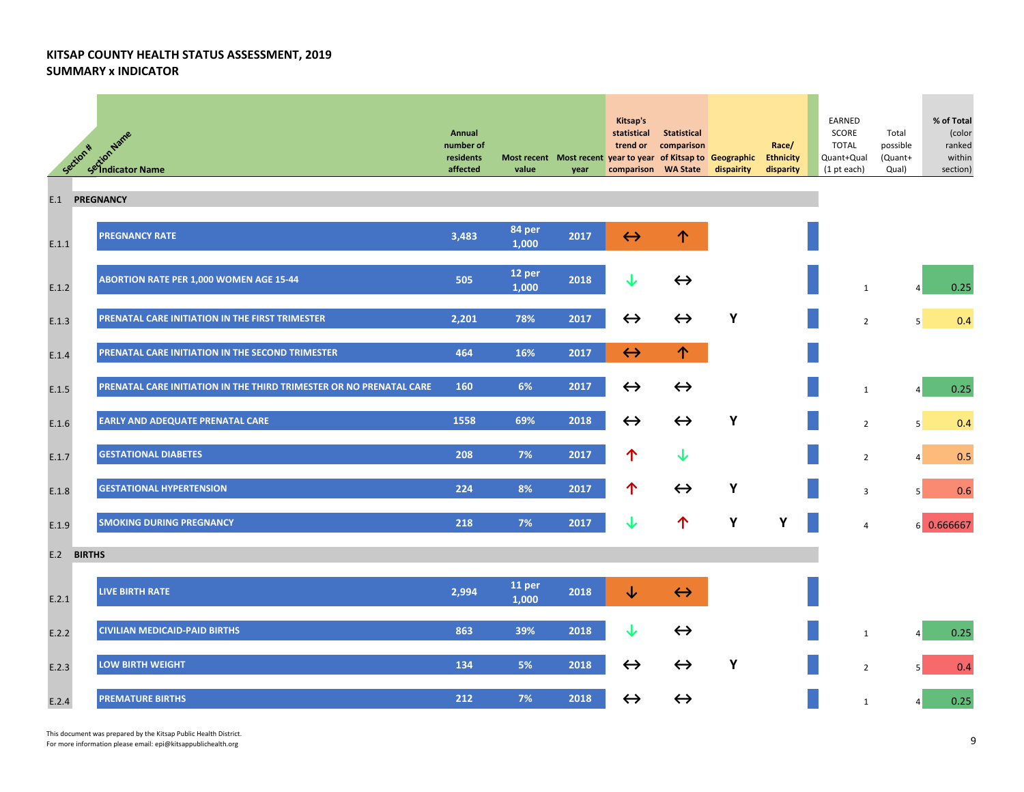|         | <b>A<sup>tt</sup> Script<sup>hance</sup></b><br>Selindicator Name<br>Section * | Annual<br>number of<br>residents<br>affected | value                      | year | Kitsap's<br>statistical<br>trend or<br>Most recent Most recent year to year of Kitsap to Geographic<br>comparison WA State | Statistical<br>comparison | dispairity | Race/<br><b>Ethnicity</b><br>disparity | EARNED<br>SCORE<br><b>TOTAL</b><br>Quant+Qual<br>(1 pt each) | Total<br>possible<br>(Quant+<br>Qual) | % of Total<br>(color<br>ranked<br>within<br>section) |
|---------|--------------------------------------------------------------------------------|----------------------------------------------|----------------------------|------|----------------------------------------------------------------------------------------------------------------------------|---------------------------|------------|----------------------------------------|--------------------------------------------------------------|---------------------------------------|------------------------------------------------------|
| E.1     | <b>PREGNANCY</b>                                                               |                                              |                            |      |                                                                                                                            |                           |            |                                        |                                                              |                                       |                                                      |
| E.1.1   | <b>PREGNANCY RATE</b>                                                          | 3,483                                        | 84 per<br>1,000            | 2017 | $\leftrightarrow$                                                                                                          | 个                         |            |                                        |                                                              |                                       |                                                      |
| E.1.2   | ABORTION RATE PER 1,000 WOMEN AGE 15-44                                        | 505                                          | 12 per<br>1,000            | 2018 | ↓                                                                                                                          | $\leftrightarrow$         |            |                                        | $\mathbf{1}$                                                 | $\overline{a}$                        | 0.25                                                 |
| $E.1.3$ | PRENATAL CARE INITIATION IN THE FIRST TRIMESTER                                | 2,201                                        | 78%                        | 2017 | $\leftrightarrow$                                                                                                          | $\leftrightarrow$         | Y          |                                        | $\overline{2}$                                               | 5                                     | 0.4                                                  |
| E.1.4   | PRENATAL CARE INITIATION IN THE SECOND TRIMESTER                               | 464                                          | 16%                        | 2017 | $\leftrightarrow$                                                                                                          | 个                         |            |                                        |                                                              |                                       |                                                      |
| E.1.5   | PRENATAL CARE INITIATION IN THE THIRD TRIMESTER OR NO PRENATAL CARE            | 160                                          | 6%                         | 2017 | $\leftrightarrow$                                                                                                          | $\leftrightarrow$         |            |                                        | $\mathbf{1}$                                                 | 4                                     | 0.25                                                 |
| E.1.6   | <b>EARLY AND ADEQUATE PRENATAL CARE</b>                                        | 1558                                         | 69%                        | 2018 | $\leftrightarrow$                                                                                                          | $\leftrightarrow$         | Y          |                                        | $\overline{2}$                                               | 5 <sup>1</sup>                        | 0.4                                                  |
| E.1.7   | <b>GESTATIONAL DIABETES</b>                                                    | 208                                          | 7%                         | 2017 | 个                                                                                                                          | ↓                         |            |                                        | $\overline{2}$                                               | $\vert$                               | 0.5                                                  |
| E.1.8   | <b>GESTATIONAL HYPERTENSION</b>                                                | 224                                          | 8%                         | 2017 | 个                                                                                                                          | $\leftrightarrow$         | Υ          |                                        | 3                                                            | 5                                     | 0.6                                                  |
| E.1.9   | <b>SMOKING DURING PREGNANCY</b>                                                | 218                                          | 7%                         | 2017 | ↓                                                                                                                          | 个                         | Y          | Υ                                      | 4                                                            |                                       | 6 0.666667                                           |
| E.2     | <b>BIRTHS</b>                                                                  |                                              |                            |      |                                                                                                                            |                           |            |                                        |                                                              |                                       |                                                      |
| E.2.1   | <b>LIVE BIRTH RATE</b>                                                         | 2,994                                        | 11 <sub>per</sub><br>1,000 | 2018 | ↓                                                                                                                          | $\leftrightarrow$         |            |                                        |                                                              |                                       |                                                      |
| E.2.2   | <b>CIVILIAN MEDICAID-PAID BIRTHS</b>                                           | 863                                          | 39%                        | 2018 | ↓                                                                                                                          | $\leftrightarrow$         |            |                                        | $\mathbf{1}$                                                 | $\vert$                               | 0.25                                                 |
| E.2.3   | <b>LOW BIRTH WEIGHT</b>                                                        | 134                                          | 5%                         | 2018 | $\leftrightarrow$                                                                                                          | $\leftrightarrow$         | Y          |                                        | $\overline{2}$                                               | 5                                     | 0.4                                                  |
| E.2.4   | <b>PREMATURE BIRTHS</b>                                                        | 212                                          | 7%                         | 2018 | $\leftrightarrow$                                                                                                          | $\leftrightarrow$         |            |                                        | $\mathbf{1}$                                                 | 4                                     | 0.25                                                 |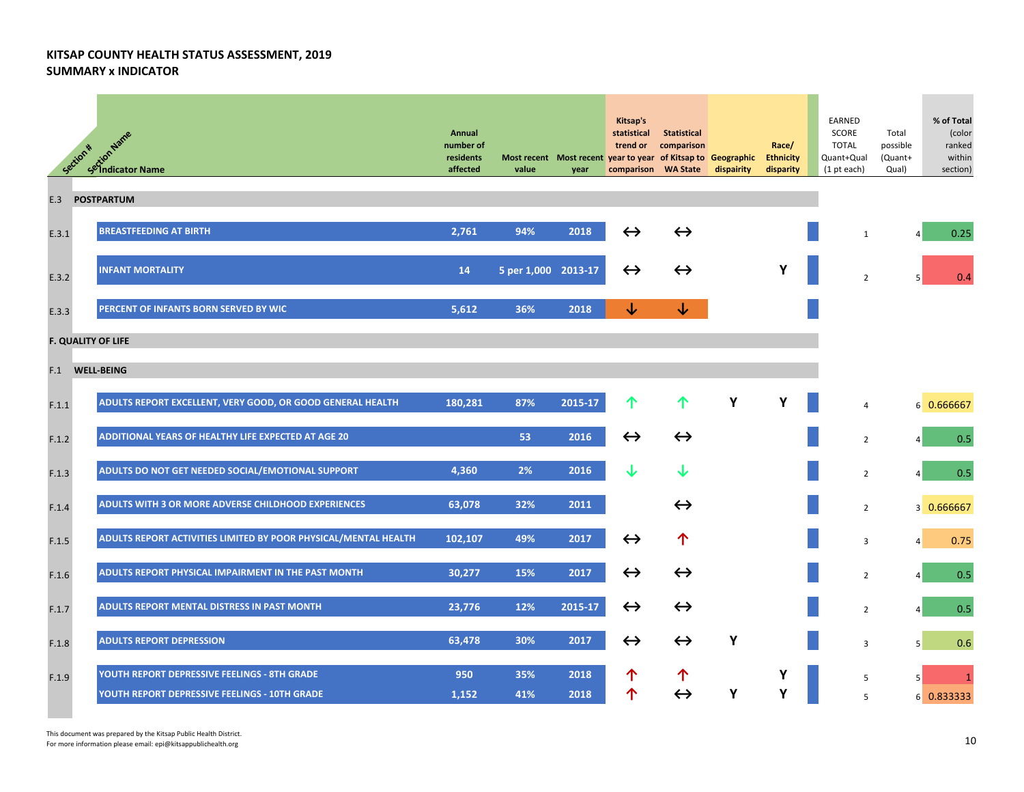|       | extion Name<br>Sextion Name<br>Section *                        | Annual<br>number of<br>residents<br>affected | Most recent Most recent year to year of Kitsap to Geographic Ethnicity<br>value | year    | Kitsap's<br>statistical<br>trend or<br>comparison WA State | <b>Statistical</b><br>comparison | dispairity | Race/<br>disparity | EARNED<br>SCORE<br><b>TOTAL</b><br>Quant+Qual<br>(1 pt each) | Total<br>possible<br>(Quant+<br>Qual) | % of Total<br>(color<br>ranked<br>within<br>section) |
|-------|-----------------------------------------------------------------|----------------------------------------------|---------------------------------------------------------------------------------|---------|------------------------------------------------------------|----------------------------------|------------|--------------------|--------------------------------------------------------------|---------------------------------------|------------------------------------------------------|
| E.3   | <b>POSTPARTUM</b>                                               |                                              |                                                                                 |         |                                                            |                                  |            |                    |                                                              |                                       |                                                      |
| E.3.1 | <b>BREASTFEEDING AT BIRTH</b>                                   | 2,761                                        | 94%                                                                             | 2018    | $\leftrightarrow$                                          | $\leftrightarrow$                |            |                    | $\mathbf{1}$                                                 | $\vert$                               | 0.25                                                 |
| E.3.2 | <b>INFANT MORTALITY</b>                                         | 14                                           | 5 per 1,000 2013-17                                                             |         | $\leftrightarrow$                                          | $\leftrightarrow$                |            | Υ                  | $\overline{2}$                                               |                                       | 0.4                                                  |
| E.3.3 | PERCENT OF INFANTS BORN SERVED BY WIC                           | 5,612                                        | 36%                                                                             | 2018    | ↓                                                          | ↓                                |            |                    |                                                              |                                       |                                                      |
|       | <b>F. QUALITY OF LIFE</b>                                       |                                              |                                                                                 |         |                                                            |                                  |            |                    |                                                              |                                       |                                                      |
| F.1   | <b>WELL-BEING</b>                                               |                                              |                                                                                 |         |                                                            |                                  |            |                    |                                                              |                                       |                                                      |
| F.1.1 | ADULTS REPORT EXCELLENT, VERY GOOD, OR GOOD GENERAL HEALTH      | 180,281                                      | 87%                                                                             | 2015-17 | 个                                                          | 个                                | Υ          | Υ                  | $\overline{4}$                                               |                                       | 6 0.666667                                           |
| F.1.2 | ADDITIONAL YEARS OF HEALTHY LIFE EXPECTED AT AGE 20             |                                              | 53                                                                              | 2016    | $\leftrightarrow$                                          | $\leftrightarrow$                |            |                    | $\overline{2}$                                               | $\vert$                               | 0.5                                                  |
| F.1.3 | ADULTS DO NOT GET NEEDED SOCIAL/EMOTIONAL SUPPORT               | 4,360                                        | 2%                                                                              | 2016    | ↓                                                          | ↓                                |            |                    | $\overline{2}$                                               | $\vert$                               | 0.5                                                  |
| F.1.4 | ADULTS WITH 3 OR MORE ADVERSE CHILDHOOD EXPERIENCES             | 63,078                                       | 32%                                                                             | 2011    |                                                            | $\leftrightarrow$                |            |                    | $\overline{2}$                                               |                                       | 3 0.666667                                           |
| F.1.5 | ADULTS REPORT ACTIVITIES LIMITED BY POOR PHYSICAL/MENTAL HEALTH | 102,107                                      | 49%                                                                             | 2017    | $\leftrightarrow$                                          | 个                                |            |                    | 3                                                            | $\vert$                               | 0.75                                                 |
| F.1.6 | ADULTS REPORT PHYSICAL IMPAIRMENT IN THE PAST MONTH             | 30,277                                       | 15%                                                                             | 2017    | $\leftrightarrow$                                          | $\leftrightarrow$                |            |                    | $\overline{2}$                                               |                                       | 0.5                                                  |
| F.1.7 | ADULTS REPORT MENTAL DISTRESS IN PAST MONTH                     | 23,776                                       | 12%                                                                             | 2015-17 | $\leftrightarrow$                                          | $\leftrightarrow$                |            |                    | $\overline{2}$                                               |                                       | 0.5                                                  |
| F.1.8 | <b>ADULTS REPORT DEPRESSION</b>                                 | 63,478                                       | 30%                                                                             | 2017    | $\leftrightarrow$                                          | $\leftrightarrow$                | Y          |                    | $\mathbf{3}$                                                 | 5 <sup>1</sup>                        | 0.6                                                  |
| F.1.9 | YOUTH REPORT DEPRESSIVE FEELINGS - 8TH GRADE                    | 950                                          | 35%                                                                             | 2018    | 个                                                          | 个                                |            | Y                  | 5                                                            | 5 <sup>1</sup>                        | $\mathbf{1}$                                         |
|       | YOUTH REPORT DEPRESSIVE FEELINGS - 10TH GRADE                   | 1,152                                        | 41%                                                                             | 2018    | 个                                                          | $\leftrightarrow$                | Υ          | Y                  | 5                                                            |                                       | 6 0.833333                                           |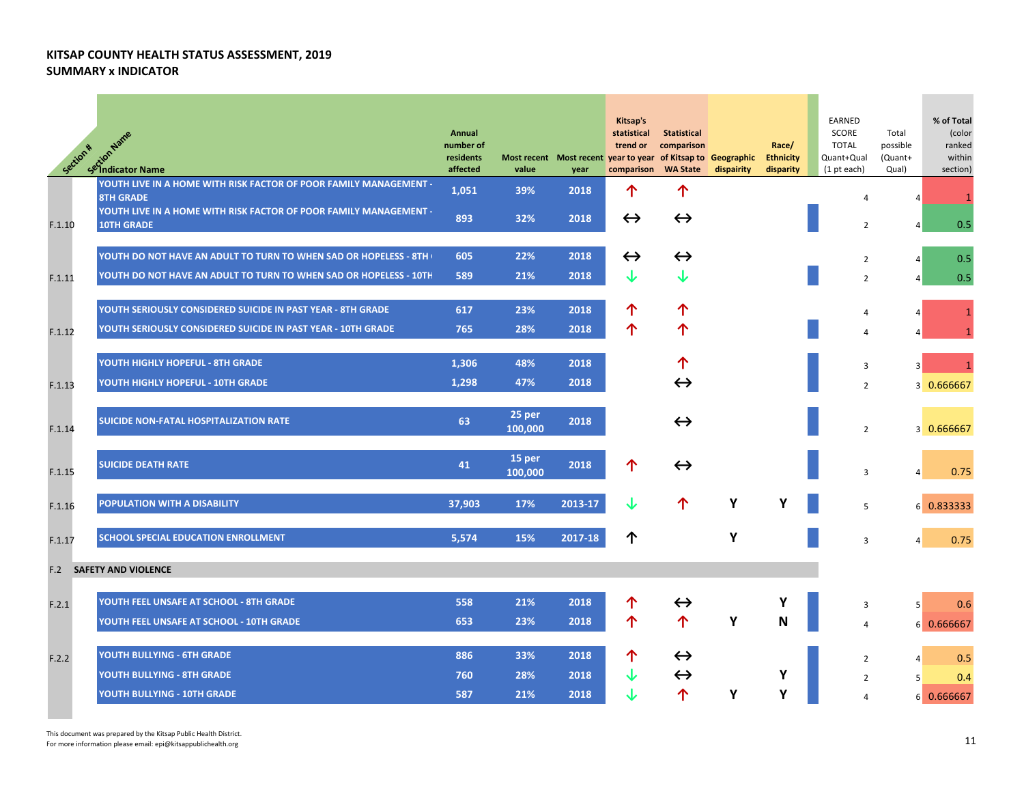| Section * | <b>A<sup>tt</sup> Script Name</b><br>Selindicator Name                                 | Annual<br>number of<br>residents<br>affected | value             | Most recent Most recent year to year of Kitsap to Geographic<br>year | Kitsap's<br>statistical<br>trend or<br>comparison | Statistical<br>comparison<br><b>WA State</b> | dispairity | Race/<br><b>Ethnicity</b><br>disparity | EARNED<br>SCORE<br><b>TOTAL</b><br>Quant+Qual<br>(1 pt each) | Total<br>possible<br>(Quant+<br>Qual) | % of Total<br>(color<br>ranked<br>within<br>section) |
|-----------|----------------------------------------------------------------------------------------|----------------------------------------------|-------------------|----------------------------------------------------------------------|---------------------------------------------------|----------------------------------------------|------------|----------------------------------------|--------------------------------------------------------------|---------------------------------------|------------------------------------------------------|
|           | YOUTH LIVE IN A HOME WITH RISK FACTOR OF POOR FAMILY MANAGEMENT -<br><b>8TH GRADE</b>  | 1,051                                        | 39%               | 2018                                                                 | 个                                                 | ↑                                            |            |                                        | 4                                                            |                                       |                                                      |
| F.1.10    | YOUTH LIVE IN A HOME WITH RISK FACTOR OF POOR FAMILY MANAGEMENT -<br><b>10TH GRADE</b> | 893                                          | 32%               | 2018                                                                 | $\leftrightarrow$                                 | $\leftrightarrow$                            |            |                                        | $\overline{2}$                                               |                                       | 0.5                                                  |
|           | YOUTH DO NOT HAVE AN ADULT TO TURN TO WHEN SAD OR HOPELESS - 8TH (                     | 605                                          | 22%               | 2018                                                                 | $\leftrightarrow$                                 | $\leftrightarrow$                            |            |                                        | $\overline{2}$                                               | 4                                     | 0.5                                                  |
| F.1.11    | YOUTH DO NOT HAVE AN ADULT TO TURN TO WHEN SAD OR HOPELESS - 10TH                      | 589                                          | 21%               | 2018                                                                 | ↓                                                 |                                              |            |                                        | $\overline{2}$                                               | 4                                     | 0.5                                                  |
|           | YOUTH SERIOUSLY CONSIDERED SUICIDE IN PAST YEAR - 8TH GRADE                            | 617                                          | 23%               | 2018                                                                 | 个                                                 | ↑                                            |            |                                        | 4                                                            |                                       | $\mathbf{1}$                                         |
| F.1.12    | YOUTH SERIOUSLY CONSIDERED SUICIDE IN PAST YEAR - 10TH GRADE                           | 765                                          | 28%               | 2018                                                                 | 个                                                 | ↑                                            |            |                                        | 4                                                            |                                       |                                                      |
|           | YOUTH HIGHLY HOPEFUL - 8TH GRADE                                                       | 1,306                                        | 48%               | 2018                                                                 |                                                   | ↑                                            |            |                                        | 3                                                            |                                       |                                                      |
| F.1.13    | YOUTH HIGHLY HOPEFUL - 10TH GRADE                                                      | 1,298                                        | 47%               | 2018                                                                 |                                                   | $\leftrightarrow$                            |            |                                        | $\overline{2}$                                               |                                       | 3 0.666667                                           |
| F.1.14    | SUICIDE NON-FATAL HOSPITALIZATION RATE                                                 | 63                                           | 25 per<br>100,000 | 2018                                                                 |                                                   | $\leftrightarrow$                            |            |                                        | $\overline{2}$                                               |                                       | 3 0.666667                                           |
| F.1.15    | <b>SUICIDE DEATH RATE</b>                                                              | 41                                           | 15 per<br>100,000 | 2018                                                                 | ↑                                                 | $\leftrightarrow$                            |            |                                        | 3                                                            |                                       | 0.75                                                 |
| F.1.16    | POPULATION WITH A DISABILITY                                                           | 37,903                                       | 17%               | 2013-17                                                              |                                                   | 个                                            | Υ          | Υ                                      | 5                                                            |                                       | 6 0.833333                                           |
| F.1.17    | SCHOOL SPECIAL EDUCATION ENROLLMENT                                                    | 5,574                                        | 15%               | 2017-18                                                              | ↑                                                 |                                              | Υ          |                                        | 3                                                            | 4                                     | 0.75                                                 |
| F.2       | <b>SAFETY AND VIOLENCE</b>                                                             |                                              |                   |                                                                      |                                                   |                                              |            |                                        |                                                              |                                       |                                                      |
| F.2.1     | YOUTH FEEL UNSAFE AT SCHOOL - 8TH GRADE                                                | 558                                          | 21%               | 2018                                                                 | ↑                                                 | $\leftrightarrow$                            |            |                                        | 3                                                            | 5                                     | 0.6                                                  |
|           | YOUTH FEEL UNSAFE AT SCHOOL - 10TH GRADE                                               | 653                                          | 23%               | 2018                                                                 | 个                                                 | 个                                            | Y          | N                                      | 4                                                            |                                       | 6 0.666667                                           |
| F.2.2     | YOUTH BULLYING - 6TH GRADE                                                             | 886                                          | 33%               | 2018                                                                 | 个                                                 | $\leftrightarrow$                            |            |                                        | 2                                                            |                                       | 0.5                                                  |
|           | <b>YOUTH BULLYING - 8TH GRADE</b>                                                      | 760                                          | 28%               | 2018                                                                 |                                                   | $\leftrightarrow$                            |            | Υ                                      | 2                                                            | 5                                     | 0.4                                                  |
|           | YOUTH BULLYING - 10TH GRADE                                                            | 587                                          | 21%               | 2018                                                                 |                                                   | 个                                            | Y          | Υ                                      | 4                                                            |                                       | 6 0.666667                                           |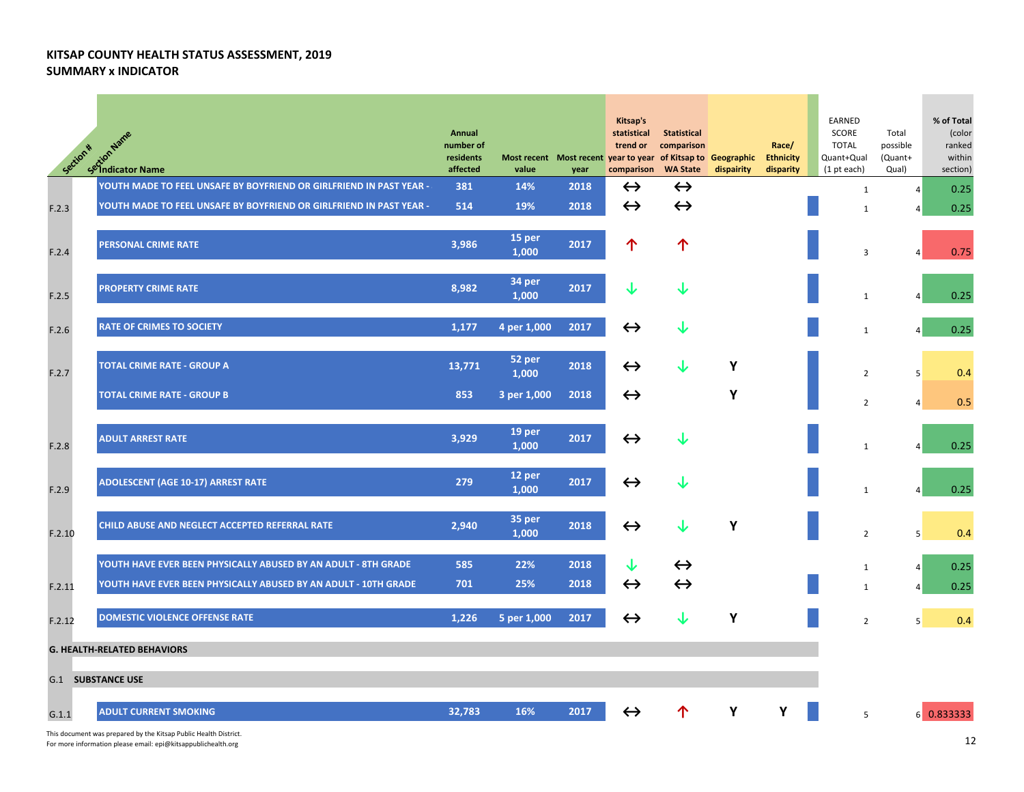| Section * | Ction Name<br><b><i>S</i></b> indicator Name                         | Annual<br>number of<br>residents<br>affected | Most recent Most recent year to year<br>value | year | Kitsap's<br>statistical<br>trend or<br>comparison | <b>Statistical</b><br>comparison<br>of Kitsap to Geographic<br><b>WA State</b> | dispairity | Race/<br><b>Ethnicity</b><br>disparity | EARNED<br>SCORE<br><b>TOTAL</b><br>Quant+Qual<br>(1 pt each) | Total<br>possible<br>(Quant+<br>Qual) | % of Total<br>(color<br>ranked<br>within<br>section) |
|-----------|----------------------------------------------------------------------|----------------------------------------------|-----------------------------------------------|------|---------------------------------------------------|--------------------------------------------------------------------------------|------------|----------------------------------------|--------------------------------------------------------------|---------------------------------------|------------------------------------------------------|
|           | YOUTH MADE TO FEEL UNSAFE BY BOYFRIEND OR GIRLFRIEND IN PAST YEAR -: | 381                                          | 14%                                           | 2018 | $\leftrightarrow$                                 | $\leftrightarrow$                                                              |            |                                        | $\mathbf{1}$                                                 | $\overline{4}$                        | 0.25                                                 |
| F.2.3     | YOUTH MADE TO FEEL UNSAFE BY BOYFRIEND OR GIRLFRIEND IN PAST YEAR -  | 514                                          | 19%                                           | 2018 | $\leftrightarrow$                                 | $\leftrightarrow$                                                              |            |                                        | $\mathbf{1}$                                                 |                                       | 0.25                                                 |
| F.2.4     | <b>PERSONAL CRIME RATE</b>                                           | 3,986                                        | 15 per<br>1,000                               | 2017 | ↑                                                 | 个                                                                              |            |                                        | 3                                                            | 4                                     | 0.75                                                 |
| F.2.5     | <b>PROPERTY CRIME RATE</b>                                           | 8,982                                        | 34 per<br>1,000                               | 2017 | ↓                                                 | ↓                                                                              |            |                                        | $\mathbf{1}$                                                 | Δ                                     | 0.25                                                 |
| F.2.6     | <b>RATE OF CRIMES TO SOCIETY</b>                                     | 1,177                                        | 4 per 1,000                                   | 2017 | $\leftrightarrow$                                 | ↓                                                                              |            |                                        | $\mathbf{1}$                                                 | $\vert$                               | 0.25                                                 |
| F.2.7     | <b>TOTAL CRIME RATE - GROUP A</b>                                    | 13,771                                       | 52 per<br>1,000                               | 2018 | $\leftrightarrow$                                 | ↓                                                                              | Υ          |                                        | $\overline{2}$                                               | 5                                     | 0.4                                                  |
|           | <b>TOTAL CRIME RATE - GROUP B</b>                                    | 853                                          | 3 per 1,000                                   | 2018 | $\leftrightarrow$                                 |                                                                                | Υ          |                                        | $\overline{2}$                                               | $\overline{4}$                        | 0.5                                                  |
| F.2.8     | <b>ADULT ARREST RATE</b>                                             | 3,929                                        | 19 per<br>1,000                               | 2017 | $\leftrightarrow$                                 | ↓                                                                              |            |                                        | $\mathbf{1}$                                                 | Δ                                     | 0.25                                                 |
| F.2.9     | <b>ADOLESCENT (AGE 10-17) ARREST RATE</b>                            | 279                                          | 12 per<br>1,000                               | 2017 | $\leftrightarrow$                                 | ↓                                                                              |            |                                        | $\mathbf{1}$                                                 | $\overline{a}$                        | 0.25                                                 |
| F.2.10    | CHILD ABUSE AND NEGLECT ACCEPTED REFERRAL RATE                       | 2,940                                        | 35 per<br>1,000                               | 2018 | $\leftrightarrow$                                 | ↓                                                                              | Υ          |                                        | $\overline{2}$                                               | 5                                     | 0.4                                                  |
|           | YOUTH HAVE EVER BEEN PHYSICALLY ABUSED BY AN ADULT - 8TH GRADE       | 585                                          | 22%                                           | 2018 | ↓                                                 | $\leftrightarrow$                                                              |            |                                        | $\mathbf{1}$                                                 | 4                                     | 0.25                                                 |
| F.2.11    | YOUTH HAVE EVER BEEN PHYSICALLY ABUSED BY AN ADULT - 10TH GRADE      | 701                                          | 25%                                           | 2018 | $\leftrightarrow$                                 | $\leftrightarrow$                                                              |            |                                        | $\mathbf{1}$                                                 | 4                                     | 0.25                                                 |
| F.2.12    | <b>DOMESTIC VIOLENCE OFFENSE RATE</b>                                | 1,226                                        | 5 per 1,000                                   | 2017 | $\leftrightarrow$                                 | J                                                                              | Υ          |                                        | $\overline{2}$                                               | 5                                     | 0.4                                                  |
|           | <b>G. HEALTH-RELATED BEHAVIORS</b>                                   |                                              |                                               |      |                                                   |                                                                                |            |                                        |                                                              |                                       |                                                      |
|           | <b>G.1 SUBSTANCE USE</b>                                             |                                              |                                               |      |                                                   |                                                                                |            |                                        |                                                              |                                       |                                                      |
| G.1.1     | <b>ADULT CURRENT SMOKING</b>                                         | 32,783                                       | 16%                                           | 2017 | $\leftrightarrow$                                 |                                                                                | Y          | Y                                      | 5                                                            |                                       | 6 0.833333                                           |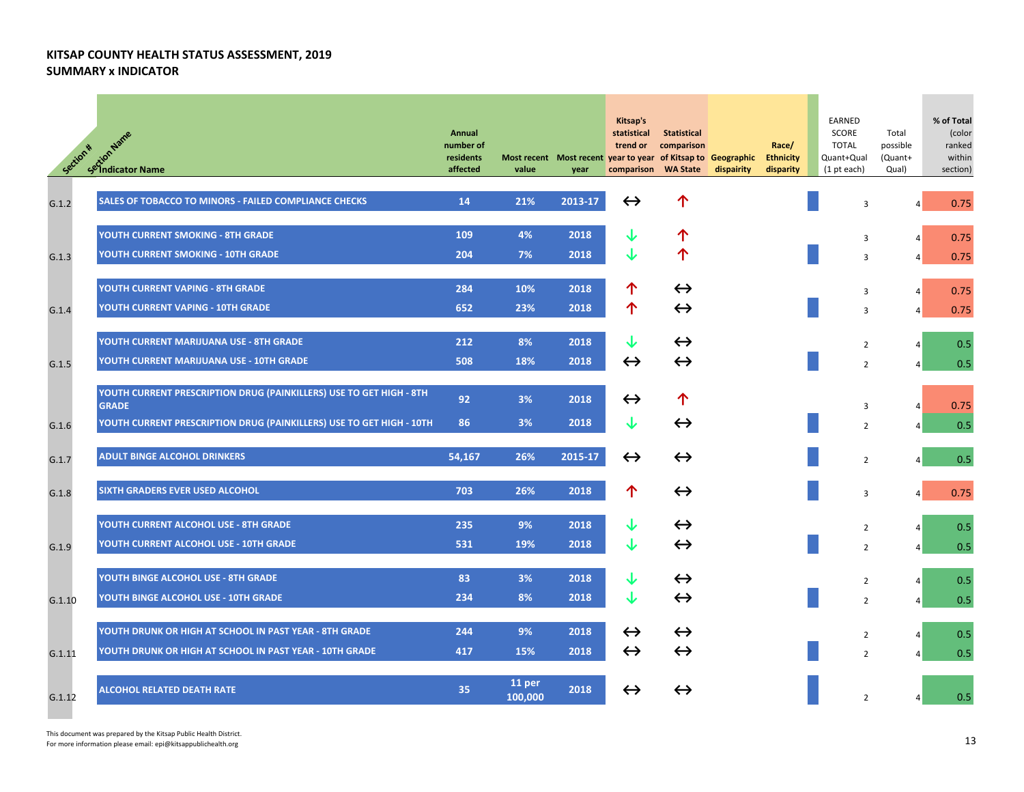| Section * | setion Name<br>Setion Name                                                          | Annual<br>number of<br>residents<br>affected | value             | Most recent Most recent year to year of Kitsap to Geographic<br>year | Kitsap's<br>statistical<br>trend or<br>comparison WA State | <b>Statistical</b><br>comparison | dispairity | Race/<br><b>Ethnicity</b><br>disparity | EARNED<br>SCORE<br><b>TOTAL</b><br>Quant+Qual<br>$(1$ pt each) | Total<br>possible<br>(Quant+<br>Qual) | % of Total<br>(color<br>ranked<br>within<br>section) |
|-----------|-------------------------------------------------------------------------------------|----------------------------------------------|-------------------|----------------------------------------------------------------------|------------------------------------------------------------|----------------------------------|------------|----------------------------------------|----------------------------------------------------------------|---------------------------------------|------------------------------------------------------|
| G.1.2     | SALES OF TOBACCO TO MINORS - FAILED COMPLIANCE CHECKS                               | 14                                           | 21%               | 2013-17                                                              | $\leftrightarrow$                                          | ↑                                |            |                                        | 3                                                              | 4                                     | 0.75                                                 |
|           | YOUTH CURRENT SMOKING - 8TH GRADE                                                   | 109                                          | 4%                | 2018                                                                 | ↓                                                          | ↑                                |            |                                        | 3                                                              | $\overline{4}$                        | 0.75                                                 |
| G.1.3     | YOUTH CURRENT SMOKING - 10TH GRADE                                                  | 204                                          | 7%                | 2018                                                                 | J                                                          | 个                                |            |                                        | 3                                                              | $\vert$                               | 0.75                                                 |
|           | YOUTH CURRENT VAPING - 8TH GRADE                                                    | 284                                          | 10%               | 2018                                                                 | ↑                                                          | $\leftrightarrow$                |            |                                        | 3                                                              | 4                                     | 0.75                                                 |
| G.1.4     | YOUTH CURRENT VAPING - 10TH GRADE                                                   | 652                                          | 23%               | 2018                                                                 | 个                                                          | $\leftrightarrow$                |            |                                        | 3                                                              | $\vert$                               | 0.75                                                 |
|           | YOUTH CURRENT MARIJUANA USE - 8TH GRADE                                             | 212                                          | 8%                | 2018                                                                 | ↓                                                          | $\leftrightarrow$                |            |                                        | $\overline{2}$                                                 | 4                                     | 0.5                                                  |
| G.1.5     | YOUTH CURRENT MARIJUANA USE - 10TH GRADE                                            | 508                                          | 18%               | 2018                                                                 | $\leftrightarrow$                                          | $\leftrightarrow$                |            |                                        | $\overline{2}$                                                 | 4                                     | 0.5                                                  |
|           | YOUTH CURRENT PRESCRIPTION DRUG (PAINKILLERS) USE TO GET HIGH - 8TH<br><b>GRADE</b> | 92                                           | 3%                | 2018                                                                 | $\leftrightarrow$                                          | 个                                |            |                                        | 3                                                              | 4                                     | 0.75                                                 |
| G.1.6     | YOUTH CURRENT PRESCRIPTION DRUG (PAINKILLERS) USE TO GET HIGH - 10TH                | 86                                           | 3%                | 2018                                                                 | ↓                                                          | $\leftrightarrow$                |            |                                        | $\overline{2}$                                                 |                                       | 0.5                                                  |
| G.1.7     | <b>ADULT BINGE ALCOHOL DRINKERS</b>                                                 | 54.167                                       | 26%               | 2015-17                                                              | $\leftrightarrow$                                          | $\leftrightarrow$                |            |                                        | $\overline{2}$                                                 | 4                                     | 0.5                                                  |
| G.1.8     | SIXTH GRADERS EVER USED ALCOHOL                                                     | 703                                          | 26%               | 2018                                                                 | ↑                                                          | $\leftrightarrow$                |            |                                        | 3                                                              | $\vert$                               | 0.75                                                 |
|           | YOUTH CURRENT ALCOHOL USE - 8TH GRADE                                               | 235                                          | 9%                | 2018                                                                 | ↓                                                          | $\leftrightarrow$                |            |                                        | 2                                                              | 4                                     | 0.5                                                  |
| G.1.9     | YOUTH CURRENT ALCOHOL USE - 10TH GRADE                                              | 531                                          | 19%               | 2018                                                                 | ↓                                                          | $\leftrightarrow$                |            |                                        | $\overline{2}$                                                 | 4                                     | 0.5                                                  |
|           | YOUTH BINGE ALCOHOL USE - 8TH GRADE                                                 | 83                                           | 3%                | 2018                                                                 | ↓                                                          | $\leftrightarrow$                |            |                                        | $\overline{2}$                                                 | $\overline{4}$                        | 0.5                                                  |
| G.1.10    | YOUTH BINGE ALCOHOL USE - 10TH GRADE                                                | 234                                          | 8%                | 2018                                                                 | ↓                                                          | $\leftrightarrow$                |            |                                        | $\overline{2}$                                                 | $\vert$                               | 0.5                                                  |
|           | YOUTH DRUNK OR HIGH AT SCHOOL IN PAST YEAR - 8TH GRADE                              | 244                                          | 9%                | 2018                                                                 | $\leftrightarrow$                                          | $\leftrightarrow$                |            |                                        | $\overline{2}$                                                 | $\vert$                               | 0.5                                                  |
| G.1.11    | YOUTH DRUNK OR HIGH AT SCHOOL IN PAST YEAR - 10TH GRADE                             | 417                                          | 15%               | 2018                                                                 | $\leftrightarrow$                                          | $\leftrightarrow$                |            |                                        | $\overline{2}$                                                 | 4                                     | 0.5                                                  |
| G.1.12    | <b>ALCOHOL RELATED DEATH RATE</b>                                                   | 35                                           | 11 per<br>100.000 | 2018                                                                 | ↔                                                          | $\leftrightarrow$                |            |                                        | $\overline{2}$                                                 |                                       | 0.5                                                  |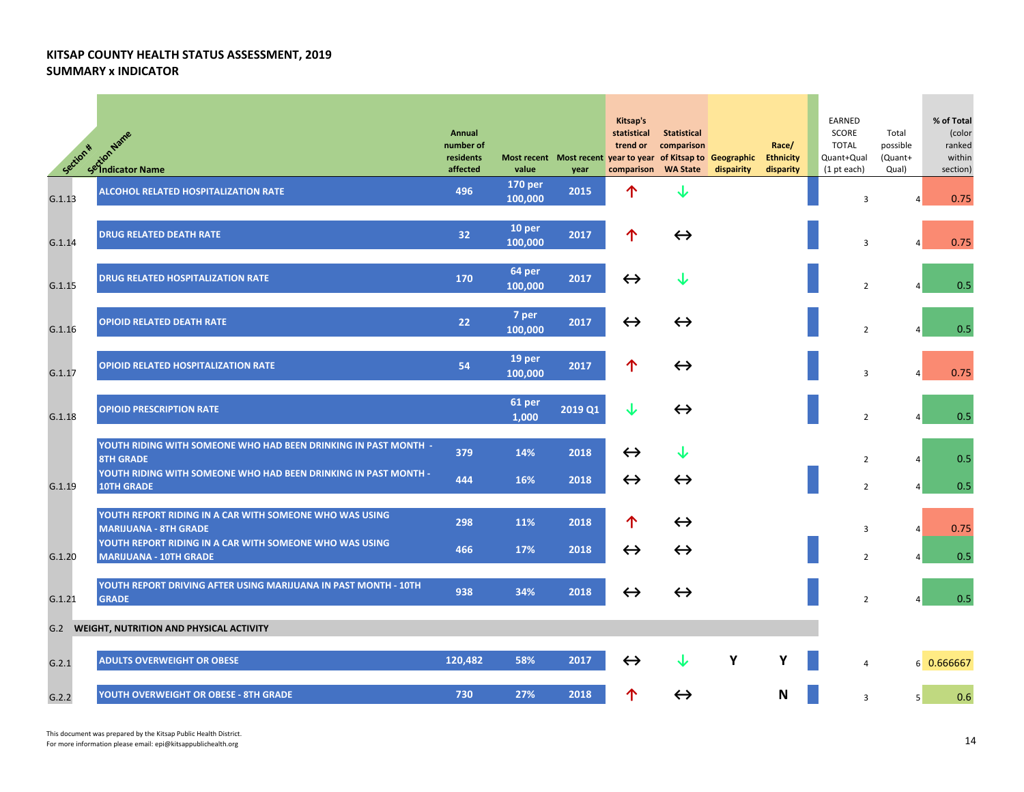| Section * | setion Name<br>Setion Name                                                               | Annual<br>number of<br>residents<br>affected | value              | year    | Kitsap's<br>statistical<br>trend or<br>Most recent Most recent year to year of Kitsap to Geographic<br>comparison | Statistical<br>comparison<br><b>WA State</b> | dispairity | Race/<br><b>Ethnicity</b><br>disparity | EARNED<br>SCORE<br><b>TOTAL</b><br>Quant+Qual<br>(1 pt each) | Total<br>possible<br>(Quant+<br>Qual) | % of Total<br>(color<br>ranked<br>within<br>section) |
|-----------|------------------------------------------------------------------------------------------|----------------------------------------------|--------------------|---------|-------------------------------------------------------------------------------------------------------------------|----------------------------------------------|------------|----------------------------------------|--------------------------------------------------------------|---------------------------------------|------------------------------------------------------|
| G.1.13    | ALCOHOL RELATED HOSPITALIZATION RATE                                                     | 496                                          | 170 per<br>100,000 | 2015    | 个                                                                                                                 | J                                            |            |                                        | 3                                                            |                                       | 0.75                                                 |
| G.1.14    | <b>DRUG RELATED DEATH RATE</b>                                                           | 32                                           | 10 per<br>100,000  | 2017    | ↑                                                                                                                 | $\leftrightarrow$                            |            |                                        | 3                                                            |                                       | 0.75                                                 |
| G.1.15    | <b>DRUG RELATED HOSPITALIZATION RATE</b>                                                 | 170                                          | 64 per<br>100,000  | 2017    | $\leftrightarrow$                                                                                                 | ↓                                            |            |                                        | $\overline{2}$                                               |                                       | 0.5                                                  |
| G.1.16    | <b>OPIOID RELATED DEATH RATE</b>                                                         | 22                                           | 7 per<br>100,000   | 2017    | $\leftrightarrow$                                                                                                 | $\leftrightarrow$                            |            |                                        | $\overline{2}$                                               |                                       | 0.5                                                  |
| G.1.17    | <b>OPIOID RELATED HOSPITALIZATION RATE</b>                                               | 54                                           | 19 per<br>100,000  | 2017    | 个                                                                                                                 | $\leftrightarrow$                            |            |                                        | 3                                                            |                                       | 0.75                                                 |
| G.1.18    | <b>OPIOID PRESCRIPTION RATE</b>                                                          |                                              | 61 per<br>1,000    | 2019 Q1 | ↓                                                                                                                 | $\leftrightarrow$                            |            |                                        | $\overline{2}$                                               |                                       | 0.5                                                  |
|           | YOUTH RIDING WITH SOMEONE WHO HAD BEEN DRINKING IN PAST MONTH -<br><b>8TH GRADE</b>      | 379                                          | 14%                | 2018    | $\leftrightarrow$                                                                                                 | ↓                                            |            |                                        | $\overline{2}$                                               | $\overline{4}$                        | 0.5                                                  |
| G.1.19    | YOUTH RIDING WITH SOMEONE WHO HAD BEEN DRINKING IN PAST MONTH -<br><b>10TH GRADE</b>     | 444                                          | 16%                | 2018    | $\leftrightarrow$                                                                                                 | $\leftrightarrow$                            |            |                                        | $\overline{2}$                                               | $\overline{4}$                        | 0.5                                                  |
|           | YOUTH REPORT RIDING IN A CAR WITH SOMEONE WHO WAS USING<br><b>MARIJUANA - 8TH GRADE</b>  | 298                                          | 11%                | 2018    | 个                                                                                                                 | $\leftrightarrow$                            |            |                                        | 3                                                            | $\overline{4}$                        | 0.75                                                 |
| G.1.20    | YOUTH REPORT RIDING IN A CAR WITH SOMEONE WHO WAS USING<br><b>MARIJUANA - 10TH GRADE</b> | 466                                          | 17%                | 2018    | $\leftrightarrow$                                                                                                 | $\leftrightarrow$                            |            |                                        | $\overline{2}$                                               |                                       | 0.5                                                  |
| G.1.21    | YOUTH REPORT DRIVING AFTER USING MARIJUANA IN PAST MONTH - 10TH<br><b>GRADE</b>          | 938                                          | 34%                | 2018    | $\leftrightarrow$                                                                                                 | $\leftrightarrow$                            |            |                                        | $\overline{2}$                                               |                                       | 0.5                                                  |
|           | <b>G.2 WEIGHT, NUTRITION AND PHYSICAL ACTIVITY</b>                                       |                                              |                    |         |                                                                                                                   |                                              |            |                                        |                                                              |                                       |                                                      |
| G.2.1     | <b>ADULTS OVERWEIGHT OR OBESE</b>                                                        | 120,482                                      | 58%                | 2017    | $\leftrightarrow$                                                                                                 |                                              | Υ          |                                        | 4                                                            |                                       | 6 0.666667                                           |
| G.2.2     | YOUTH OVERWEIGHT OR OBESE - 8TH GRADE                                                    | 730                                          | 27%                | 2018    | ↑                                                                                                                 | $\leftrightarrow$                            |            | N                                      | 3                                                            | 5                                     | 0.6                                                  |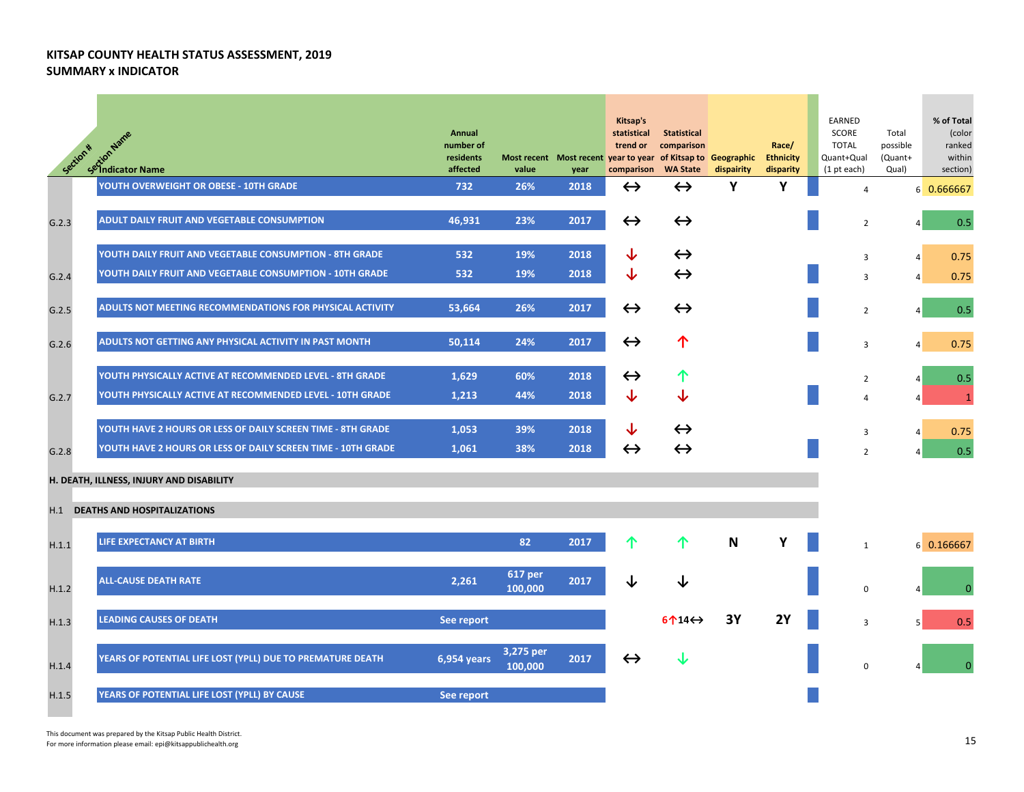| Section * | R <sup>*</sup> Script <sup>Name</sup><br>Selindicator Name   | Annual<br>number of<br>residents<br>affected | Most recent Most recent year to year of Kitsap to Geographic<br>value | year | Kitsap's<br>statistical<br>trend or<br>comparison WA State | Statistical<br>comparison       | dispairity   | Race/<br><b>Ethnicity</b><br>disparity | EARNED<br>SCORE<br><b>TOTAL</b><br>Quant+Qual<br>$(1$ pt each) | Total<br>possible<br>(Quant+<br>Qual) | % of Total<br>(color<br>ranked<br>within<br>section) |
|-----------|--------------------------------------------------------------|----------------------------------------------|-----------------------------------------------------------------------|------|------------------------------------------------------------|---------------------------------|--------------|----------------------------------------|----------------------------------------------------------------|---------------------------------------|------------------------------------------------------|
|           | YOUTH OVERWEIGHT OR OBESE - 10TH GRADE                       | 732                                          | 26%                                                                   | 2018 | $\leftrightarrow$                                          | $\leftrightarrow$               | Υ            | Υ                                      | $\overline{4}$                                                 |                                       | 6 0.666667                                           |
| G.2.3     | ADULT DAILY FRUIT AND VEGETABLE CONSUMPTION                  | 46,931                                       | 23%                                                                   | 2017 | $\leftrightarrow$                                          | $\leftrightarrow$               |              |                                        | $\overline{2}$                                                 | $\vert$                               | 0.5                                                  |
|           | YOUTH DAILY FRUIT AND VEGETABLE CONSUMPTION - 8TH GRADE      | 532                                          | 19%                                                                   | 2018 | ↓                                                          | $\leftrightarrow$               |              |                                        | 3                                                              | $\vert$                               | 0.75                                                 |
| G.2.4     | YOUTH DAILY FRUIT AND VEGETABLE CONSUMPTION - 10TH GRADE     | 532                                          | 19%                                                                   | 2018 | ↓                                                          | $\leftrightarrow$               |              |                                        | $\overline{3}$                                                 | $\overline{4}$                        | 0.75                                                 |
| G.2.5     | ADULTS NOT MEETING RECOMMENDATIONS FOR PHYSICAL ACTIVITY     | 53,664                                       | 26%                                                                   | 2017 | $\leftrightarrow$                                          | $\leftrightarrow$               |              |                                        | $\overline{2}$                                                 | 4                                     | 0.5                                                  |
| G.2.6     | ADULTS NOT GETTING ANY PHYSICAL ACTIVITY IN PAST MONTH       | 50,114                                       | 24%                                                                   | 2017 | $\leftrightarrow$                                          | 个                               |              |                                        | 3                                                              | $\vert$                               | 0.75                                                 |
|           |                                                              |                                              |                                                                       |      |                                                            |                                 |              |                                        |                                                                |                                       |                                                      |
|           | YOUTH PHYSICALLY ACTIVE AT RECOMMENDED LEVEL - 8TH GRADE     | 1,629                                        | 60%                                                                   | 2018 | $\leftrightarrow$                                          | ↑                               |              |                                        | $\overline{2}$                                                 | $\overline{a}$                        | 0.5                                                  |
| G.2.7     | YOUTH PHYSICALLY ACTIVE AT RECOMMENDED LEVEL - 10TH GRADE    | 1,213                                        | 44%                                                                   | 2018 | ↓                                                          | $\downarrow$                    |              |                                        | $\overline{4}$                                                 | 4                                     | $\mathbf{1}$                                         |
|           | YOUTH HAVE 2 HOURS OR LESS OF DAILY SCREEN TIME - 8TH GRADE  | 1,053                                        | 39%                                                                   | 2018 | ↓                                                          | $\leftrightarrow$               |              |                                        | 3                                                              | 4                                     | 0.75                                                 |
| G.2.8     | YOUTH HAVE 2 HOURS OR LESS OF DAILY SCREEN TIME - 10TH GRADE | 1,061                                        | 38%                                                                   | 2018 | $\leftrightarrow$                                          | $\leftrightarrow$               |              |                                        | $\overline{2}$                                                 | Δ                                     | 0.5                                                  |
|           |                                                              |                                              |                                                                       |      |                                                            |                                 |              |                                        |                                                                |                                       |                                                      |
|           | H. DEATH, ILLNESS, INJURY AND DISABILITY                     |                                              |                                                                       |      |                                                            |                                 |              |                                        |                                                                |                                       |                                                      |
| H.1       | <b>DEATHS AND HOSPITALIZATIONS</b>                           |                                              |                                                                       |      |                                                            |                                 |              |                                        |                                                                |                                       |                                                      |
| H.1.1     | LIFE EXPECTANCY AT BIRTH                                     |                                              | 82                                                                    | 2017 |                                                            | ↑                               | $\mathsf{N}$ | Υ                                      | $\mathbf{1}$                                                   |                                       | 6 0.166667                                           |
| H.1.2     | <b>ALL-CAUSE DEATH RATE</b>                                  | 2,261                                        | <b>617 per</b><br>100,000                                             | 2017 | ↓                                                          |                                 |              |                                        | $\Omega$                                                       |                                       |                                                      |
| H.1.3     | <b>LEADING CAUSES OF DEATH</b>                               | See report                                   |                                                                       |      |                                                            | $6 \uparrow 14 \leftrightarrow$ | 3Y           | <b>2Y</b>                              | $\overline{3}$                                                 |                                       | 0.5                                                  |
| H.1.4     | YEARS OF POTENTIAL LIFE LOST (YPLL) DUE TO PREMATURE DEATH   | 6,954 years                                  | 3,275 per<br>100,000                                                  | 2017 | $\leftrightarrow$                                          |                                 |              |                                        | 0                                                              |                                       |                                                      |
| H.1.5     | YEARS OF POTENTIAL LIFE LOST (YPLL) BY CAUSE                 | See report                                   |                                                                       |      |                                                            |                                 |              |                                        |                                                                |                                       |                                                      |

This document was prepared by the Kitsap Public Health District. This document was prepared by the Kitsap Public Health District.<br>For more information please email: epi@kitsappublichealth.org 15 March 2016 Parameter and the Starter and the Starter and the Starter and the Starter and the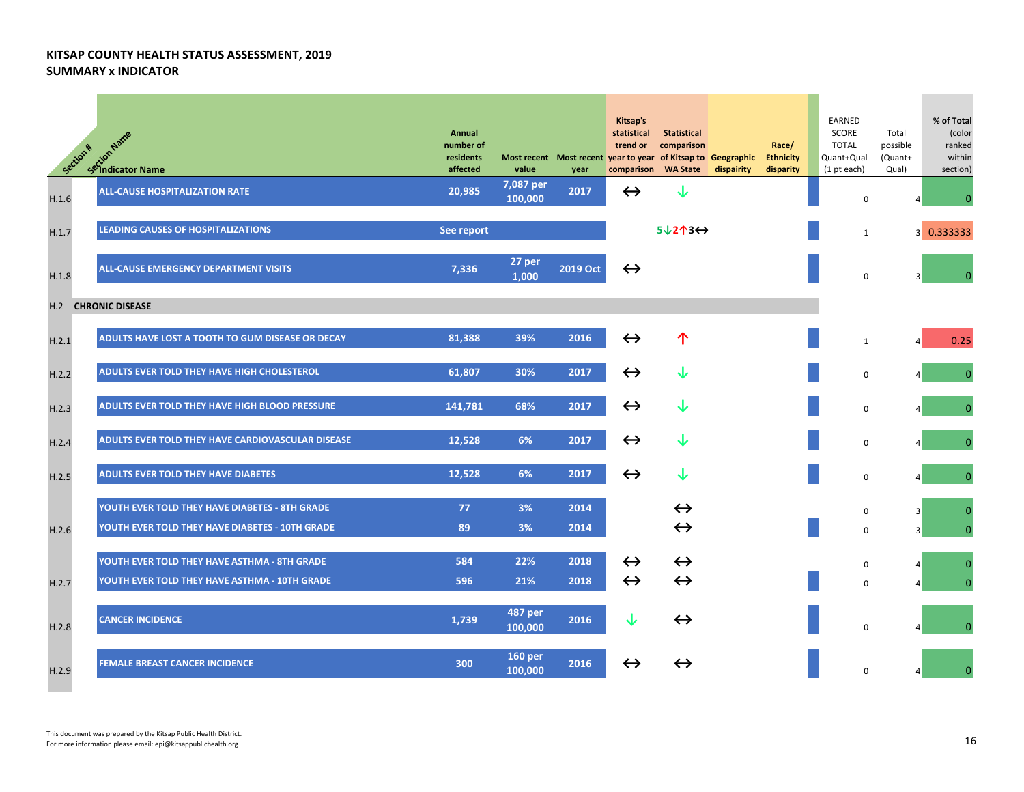| Section * | setion Name<br>Setion Name                        | Annual<br>number of<br>residents<br>affected | value                     | Most recent Most recent year to year of Kitsap to Geographic<br>year | Kitsap's<br>statistical<br>trend or<br>comparison WA State | <b>Statistical</b><br>comparison | dispairity | Race/<br><b>Ethnicity</b><br>disparity | EARNED<br>SCORE<br><b>TOTAL</b><br>Quant+Qual<br>$(1$ pt each) | Total<br>possible<br>(Quant+<br>Qual) | % of Total<br>(color<br>ranked<br>within<br>section) |
|-----------|---------------------------------------------------|----------------------------------------------|---------------------------|----------------------------------------------------------------------|------------------------------------------------------------|----------------------------------|------------|----------------------------------------|----------------------------------------------------------------|---------------------------------------|------------------------------------------------------|
| H.1.6     | <b>ALL-CAUSE HOSPITALIZATION RATE</b>             | 20,985                                       | 7,087 per<br>100,000      | 2017                                                                 | $\leftrightarrow$                                          | J                                |            |                                        | 0                                                              |                                       | $\Omega$                                             |
| H.1.7     | <b>LEADING CAUSES OF HOSPITALIZATIONS</b>         | See report                                   |                           |                                                                      |                                                            | $5\sqrt{213}\leftrightarrow$     |            |                                        | $\mathbf{1}$                                                   |                                       | 3 0.333333                                           |
| H.1.8     | ALL-CAUSE EMERGENCY DEPARTMENT VISITS             | 7,336                                        | 27 per<br>1,000           | 2019 Oct                                                             | $\leftrightarrow$                                          |                                  |            |                                        | 0                                                              |                                       |                                                      |
|           | <b>H.2 CHRONIC DISEASE</b>                        |                                              |                           |                                                                      |                                                            |                                  |            |                                        |                                                                |                                       |                                                      |
| H.2.1     | ADULTS HAVE LOST A TOOTH TO GUM DISEASE OR DECAY  | 81,388                                       | 39%                       | 2016                                                                 | $\leftrightarrow$                                          | 个                                |            |                                        | $\mathbf{1}$                                                   |                                       | 0.25                                                 |
| H.2.2     | ADULTS EVER TOLD THEY HAVE HIGH CHOLESTEROL       | 61,807                                       | 30%                       | 2017                                                                 | $\leftrightarrow$                                          | ↓                                |            |                                        | 0                                                              |                                       | $\Omega$                                             |
| H.2.3     | ADULTS EVER TOLD THEY HAVE HIGH BLOOD PRESSURE    | 141,781                                      | 68%                       | 2017                                                                 | $\leftrightarrow$                                          | ↓                                |            |                                        | 0                                                              |                                       | $\Omega$                                             |
| H.2.4     | ADULTS EVER TOLD THEY HAVE CARDIOVASCULAR DISEASE | 12,528                                       | 6%                        | 2017                                                                 | $\leftrightarrow$                                          | ↓                                |            |                                        | 0                                                              |                                       | $\Omega$                                             |
| H.2.5     | <b>ADULTS EVER TOLD THEY HAVE DIABETES</b>        | 12,528                                       | 6%                        | 2017                                                                 | $\leftrightarrow$                                          | ↓                                |            |                                        | 0                                                              |                                       | $\mathbf{0}$                                         |
|           | YOUTH EVER TOLD THEY HAVE DIABETES - 8TH GRADE    | 77                                           | 3%                        | 2014                                                                 |                                                            | $\leftrightarrow$                |            |                                        | 0                                                              | 3                                     | O                                                    |
| H.2.6     | YOUTH EVER TOLD THEY HAVE DIABETES - 10TH GRADE   | 89                                           | 3%                        | 2014                                                                 |                                                            | $\leftrightarrow$                |            |                                        | 0                                                              | 3                                     | $\Omega$                                             |
|           | YOUTH EVER TOLD THEY HAVE ASTHMA - 8TH GRADE      | 584                                          | 22%                       | 2018                                                                 | $\leftrightarrow$                                          | $\leftrightarrow$                |            |                                        | 0                                                              |                                       | $\Omega$                                             |
| H.2.7     | YOUTH EVER TOLD THEY HAVE ASTHMA - 10TH GRADE     | 596                                          | 21%                       | 2018                                                                 | $\leftrightarrow$                                          | $\leftrightarrow$                |            |                                        | 0                                                              |                                       |                                                      |
| H.2.8     | <b>CANCER INCIDENCE</b>                           | 1,739                                        | 487 per<br>100,000        | 2016                                                                 | J                                                          | $\leftrightarrow$                |            |                                        | 0                                                              |                                       |                                                      |
| H.2.9     | <b>FEMALE BREAST CANCER INCIDENCE</b>             | 300                                          | <b>160 per</b><br>100.000 | 2016                                                                 | $\leftrightarrow$                                          | $\leftrightarrow$                |            |                                        | 0                                                              |                                       |                                                      |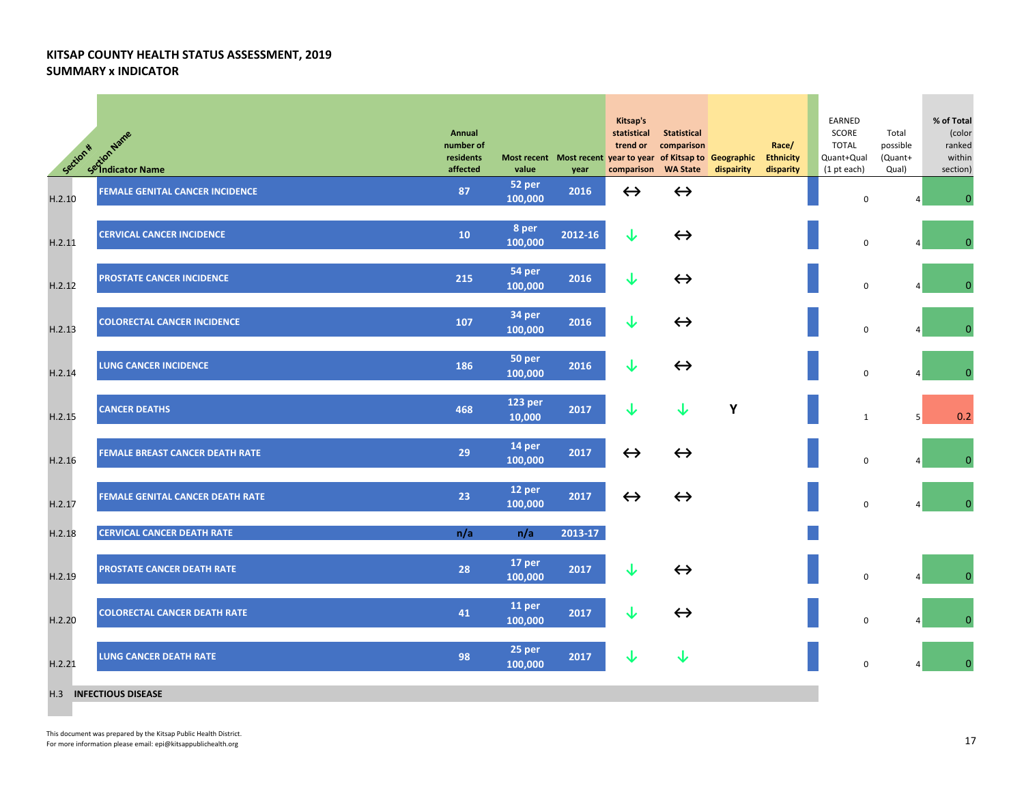| Section * | extion Name<br>Setion Name<br>Setindicator Name | Annual<br>number of<br>residents<br>affected | value                    | year    | Kitsap's<br>statistical<br>trend or<br>Most recent Most recent year to year of Kitsap to Geographic<br>comparison | <b>Statistical</b><br>comparison<br><b>WA State</b> | dispairity | Race/<br><b>Ethnicity</b><br>disparity | EARNED<br>SCORE<br><b>TOTAL</b><br>Quant+Qual<br>(1 pt each) | Total<br>possible<br>(Quant+<br>Qual) | % of Total<br>(color<br>ranked<br>within<br>section) |
|-----------|-------------------------------------------------|----------------------------------------------|--------------------------|---------|-------------------------------------------------------------------------------------------------------------------|-----------------------------------------------------|------------|----------------------------------------|--------------------------------------------------------------|---------------------------------------|------------------------------------------------------|
| H.2.10    | <b>FEMALE GENITAL CANCER INCIDENCE</b>          | 87                                           | 52 per<br>100,000        | 2016    | $\leftrightarrow$                                                                                                 | $\leftrightarrow$                                   |            |                                        | $\mathsf 0$                                                  |                                       | $\pmb{0}$                                            |
| H.2.11    | <b>CERVICAL CANCER INCIDENCE</b>                | 10                                           | 8 per<br>100,000         | 2012-16 | $\downarrow$                                                                                                      | $\leftrightarrow$                                   |            |                                        | $\mathsf 0$                                                  |                                       |                                                      |
| H.2.12    | PROSTATE CANCER INCIDENCE                       | 215                                          | 54 per<br>100,000        | 2016    | ↓                                                                                                                 | $\leftrightarrow$                                   |            |                                        | $\mathbf 0$                                                  |                                       | $\mathbf{0}$                                         |
| H.2.13    | <b>COLORECTAL CANCER INCIDENCE</b>              | 107                                          | 34 per<br>100,000        | 2016    | ↓                                                                                                                 | $\leftrightarrow$                                   |            |                                        | $\mathbf 0$                                                  |                                       | $\overline{0}$                                       |
| H.2.14    | <b>LUNG CANCER INCIDENCE</b>                    | 186                                          | 50 per<br>100,000        | 2016    | ↓                                                                                                                 | $\leftrightarrow$                                   |            |                                        | $\mathsf 0$                                                  |                                       | $\mathbf{0}$                                         |
| H.2.15    | <b>CANCER DEATHS</b>                            | 468                                          | <b>123 per</b><br>10,000 | 2017    | ↓                                                                                                                 | ↓                                                   | Y          |                                        | $\mathbf{1}$                                                 | 5 <sup>1</sup>                        | 0.2                                                  |
| H.2.16    | <b>FEMALE BREAST CANCER DEATH RATE</b>          | 29                                           | 14 per<br>100,000        | 2017    | $\leftrightarrow$                                                                                                 | $\leftrightarrow$                                   |            |                                        | $\mathsf 0$                                                  |                                       | $\mathbf{0}$                                         |
| H.2.17    | FEMALE GENITAL CANCER DEATH RATE                | 23                                           | 12 per<br>100,000        | 2017    | $\leftrightarrow$                                                                                                 | $\leftrightarrow$                                   |            |                                        | $\mathbf 0$                                                  |                                       | $\mathbf{0}$                                         |
| H.2.18    | <b>CERVICAL CANCER DEATH RATE</b>               | n/a                                          | n/a                      | 2013-17 |                                                                                                                   |                                                     |            |                                        |                                                              |                                       |                                                      |
| H.2.19    | <b>PROSTATE CANCER DEATH RATE</b>               | 28                                           | 17 per<br>100,000        | 2017    | ↓                                                                                                                 | $\leftrightarrow$                                   |            |                                        | $\mathbf 0$                                                  |                                       |                                                      |
| H.2.20    | <b>COLORECTAL CANCER DEATH RATE</b>             | 41                                           | <b>11 per</b><br>100,000 | 2017    | ↓                                                                                                                 | $\leftrightarrow$                                   |            |                                        | $\mathsf 0$                                                  |                                       | $\mathbf{0}$                                         |
| H.2.21    | <b>LUNG CANCER DEATH RATE</b>                   | 98                                           | 25 per<br>100,000        | 2017    | ↓                                                                                                                 |                                                     |            |                                        | $\mathbf 0$                                                  |                                       | $\mathbf{0}$                                         |
|           | H.3 INFECTIOUS DISEASE                          |                                              |                          |         |                                                                                                                   |                                                     |            |                                        |                                                              |                                       |                                                      |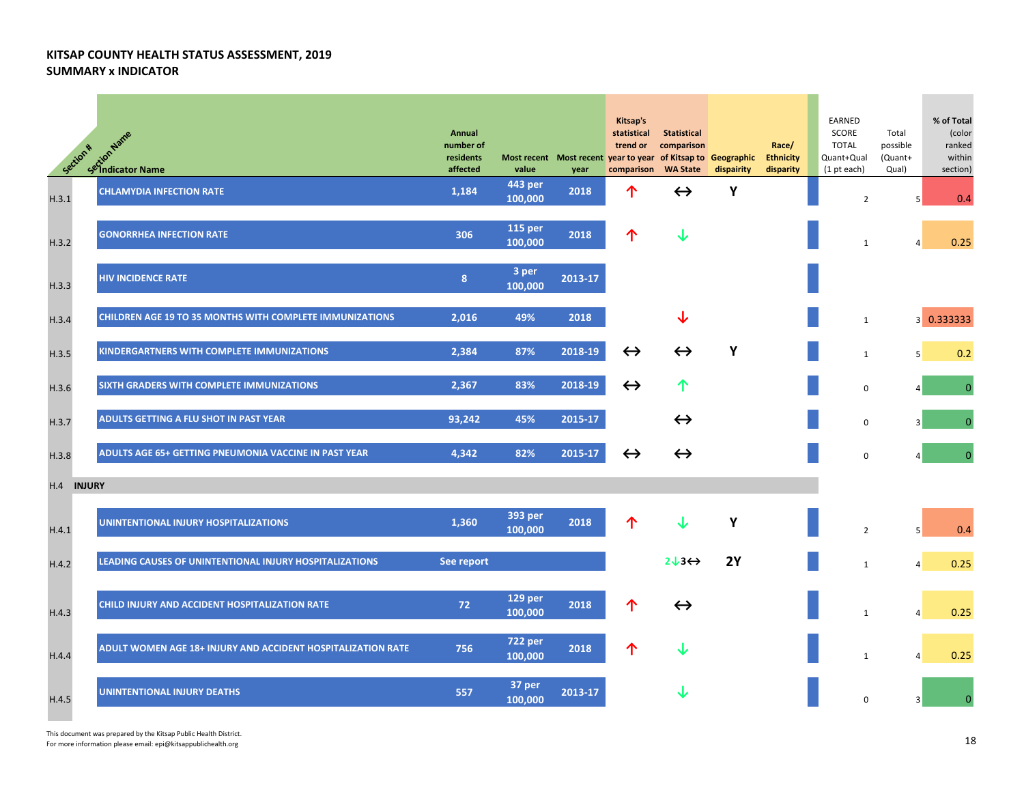| Section *            | R <sup>#</sup> crion Name<br>Section Name                       | Annual<br>number of<br>residents<br>affected | value                     | Most recent Most recent year to year of Kitsap to Geographic<br>year | Kitsap's<br>statistical<br>trend or<br>comparison | <b>Statistical</b><br>comparison<br><b>WA State</b> | dispairity | Race/<br><b>Ethnicity</b><br>disparity | EARNED<br>SCORE<br><b>TOTAL</b><br>Quant+Qual<br>(1 pt each) | Total<br>possible<br>(Quant+<br>Qual) | % of Total<br>(color<br>ranked<br>within<br>section) |
|----------------------|-----------------------------------------------------------------|----------------------------------------------|---------------------------|----------------------------------------------------------------------|---------------------------------------------------|-----------------------------------------------------|------------|----------------------------------------|--------------------------------------------------------------|---------------------------------------|------------------------------------------------------|
| H.3.1                | <b>CHLAMYDIA INFECTION RATE</b>                                 | 1,184                                        | 443 per<br>100,000        | 2018                                                                 | ↑                                                 | $\leftrightarrow$                                   | Y          |                                        | $\overline{2}$                                               | 5                                     | 0.4                                                  |
| H.3.2                | <b>GONORRHEA INFECTION RATE</b>                                 | 306                                          | <b>115 per</b><br>100,000 | 2018                                                                 | 个                                                 | ↓                                                   |            |                                        | $\mathbf{1}$                                                 | $\overline{4}$                        | 0.25                                                 |
| H.3.3                | <b>HIV INCIDENCE RATE</b>                                       | 8                                            | 3 per<br>100,000          | $2013 - 17$                                                          |                                                   |                                                     |            |                                        |                                                              |                                       |                                                      |
| H.3.4                | <b>CHILDREN AGE 19 TO 35 MONTHS WITH COMPLETE IMMUNIZATIONS</b> | 2,016                                        | 49%                       | 2018                                                                 |                                                   | ↓                                                   |            |                                        | $\mathbf{1}$                                                 |                                       | 3 0.333333                                           |
| H.3.5                | KINDERGARTNERS WITH COMPLETE IMMUNIZATIONS                      | 2,384                                        | 87%                       | 2018-19                                                              | $\leftrightarrow$                                 | $\leftrightarrow$                                   | Y          |                                        | $\mathbf{1}$                                                 | 5                                     | 0.2                                                  |
| H.3.6                | SIXTH GRADERS WITH COMPLETE IMMUNIZATIONS                       | 2,367                                        | 83%                       | 2018-19                                                              | $\leftrightarrow$                                 | ↑                                                   |            |                                        | 0                                                            |                                       | $\Omega$                                             |
| H.3.7                | ADULTS GETTING A FLU SHOT IN PAST YEAR                          | 93,242                                       | 45%                       | 2015-17                                                              |                                                   | $\leftrightarrow$                                   |            |                                        | 0                                                            |                                       | $\Omega$                                             |
| H.3.8                | ADULTS AGE 65+ GETTING PNEUMONIA VACCINE IN PAST YEAR           | 4,342                                        | 82%                       | 2015-17                                                              | $\leftrightarrow$                                 | $\leftrightarrow$                                   |            |                                        | $\Omega$                                                     |                                       | $\Omega$                                             |
| <b>INJURY</b><br>H.4 |                                                                 |                                              |                           |                                                                      |                                                   |                                                     |            |                                        |                                                              |                                       |                                                      |
| H.4.1                | UNINTENTIONAL INJURY HOSPITALIZATIONS                           | 1,360                                        | 393 per<br>100,000        | 2018                                                                 |                                                   |                                                     | Y          |                                        | $\overline{2}$                                               | 5                                     | 0.4                                                  |
| H.4.2                | LEADING CAUSES OF UNINTENTIONAL INJURY HOSPITALIZATIONS         | See report                                   |                           |                                                                      |                                                   | $2J3 \leftrightarrow$                               | <b>2Y</b>  |                                        | $\mathbf{1}$                                                 | $\overline{4}$                        | 0.25                                                 |
| H.4.3                | CHILD INJURY AND ACCIDENT HOSPITALIZATION RATE                  | 72                                           | <b>129 per</b><br>100,000 | 2018                                                                 | ↑                                                 | $\leftrightarrow$                                   |            |                                        | 1                                                            | $\overline{4}$                        | 0.25                                                 |
| H.4.4                | ADULT WOMEN AGE 18+ INJURY AND ACCIDENT HOSPITALIZATION RATE    | 756                                          | <b>722 per</b><br>100,000 | 2018                                                                 | 个                                                 |                                                     |            |                                        | $\mathbf{1}$                                                 | $\Delta$                              | 0.25                                                 |
| H.4.5                | UNINTENTIONAL INJURY DEATHS                                     | 557                                          | 37 per<br>100,000         | 2013-17                                                              |                                                   |                                                     |            |                                        | $\mathbf 0$                                                  |                                       |                                                      |

This document was prepared by the Kitsap Public Health District. This document was prepared by the Kitsap Public Health District.<br>For more information please email: epi@kitsappublichealth.org 18 November 2018 Prepared the State of the State of the State of the State of the State of the